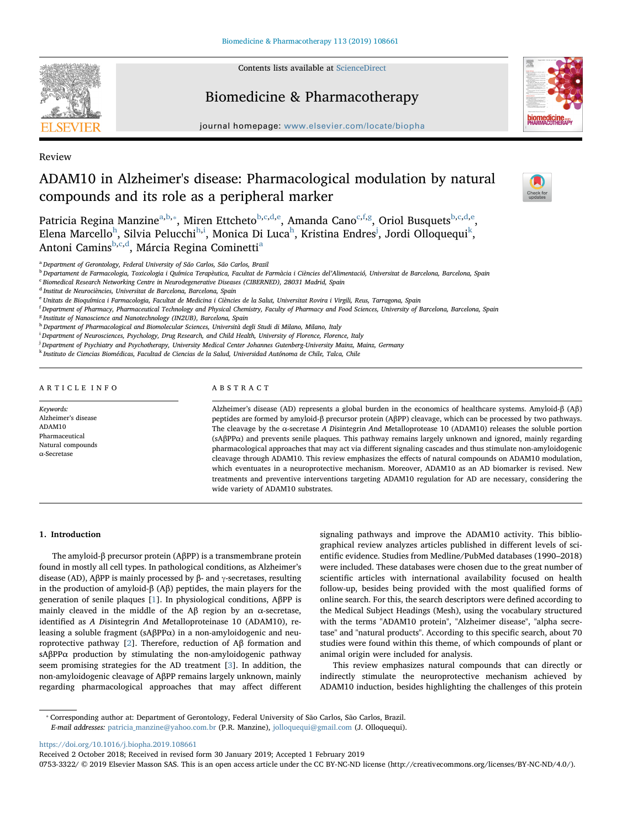

Contents lists available at [ScienceDirect](http://www.sciencedirect.com/science/journal/07533322)

## Biomedicine & Pharmacotherapy



 $\sum_{\text{the}}$ 

journal homepage: [www.elsevier.com/locate/biopha](https://www.elsevier.com/locate/biopha)

Review

# ADAM10 in Alzheimer's disease: Pharmacological modulation by natural compounds and its role as a peripheral marker

Patricia Regina Manzine<sup>[a,](#page-0-0)[b](#page-0-1),</sup>\*, Miren Ett[c](#page-0-3)heto<sup>b,c[,d](#page-0-4)[,e](#page-0-5)</sup>, Amanda Cano<sup>c[,f](#page-0-6)[,g](#page-0-7)</sup>, Oriol Busquets<sup>b[,c](#page-0-3)[,d,](#page-0-4)[e](#page-0-5)</sup>, Elena Marcello $^{\rm h}$  $^{\rm h}$  $^{\rm h}$ , S[i](#page-0-9)lvia Pelucchi $^{\rm h,i}$ , Monica Di Luca $^{\rm h}$ , Kristina Endres $^{\rm j}$  $^{\rm j}$  $^{\rm j}$ , Jordi Olloquequi $^{\rm k}$  $^{\rm k}$  $^{\rm k}$ , Antoni Camins<sup>[b,](#page-0-1)[c](#page-0-3),[d](#page-0-4)</sup>, Márci[a](#page-0-0) Regina Cominetti<sup>a</sup>

<span id="page-0-0"></span><sup>a</sup> Department of Gerontology, Federal University of São Carlos, São Carlos, Brazil

<span id="page-0-1"></span><sup>b</sup> Departament de Farmacologia, Toxicologia i Química Terapèutica, Facultat de Farmàcia i Ciències del'Alimentació, Universitat de Barcelona, Barcelona, Spain

<span id="page-0-3"></span><sup>c</sup> Biomedical Research Networking Centre in Neurodegenerative Diseases (CIBERNED), 28031 Madrid, Spain

<span id="page-0-4"></span><sup>d</sup> Institut de Neurociències, Universitat de Barcelona, Barcelona, Spain

<span id="page-0-5"></span><sup>e</sup> Unitats de Bioquímica i Farmacologia, Facultat de Medicina i Ciències de la Salut, Universitat Rovira i Virgili, Reus, Tarragona, Spain

<span id="page-0-6"></span>f Department of Pharmacy, Pharmaceutical Technology and Physical Chemistry, Faculty of Pharmacy and Food Sciences, University of Barcelona, Barcelona, Spain

<span id="page-0-7"></span><sup>8</sup> Institute of Nanoscience and Nanotechnology (IN2UB), Barcelona, Spain

<span id="page-0-8"></span>h Department of Pharmacological and Biomolecular Sciences, Università degli Studi di Milano, Milano, Italy

<span id="page-0-9"></span>i Department of Neurosciences, Psychology, Drug Research, and Child Health, University of Florence, Florence, Italy

<span id="page-0-10"></span>j Department of Psychiatry and Psychotherapy, University Medical Center Johannes Gutenberg-University Mainz, Mainz, Germany

<span id="page-0-11"></span><sup>k</sup> Instituto de Ciencias Biomédicas, Facultad de Ciencias de la Salud, Universidad Autónoma de Chile, Talca, Chile

ARTICLE INFO

Keywords: Alzheimer's disease ADAM10 Pharmaceutical Natural compounds α-Secretase

## ABSTRACT

Alzheimer's disease (AD) represents a global burden in the economics of healthcare systems. Amyloid-β (Aβ) peptides are formed by amyloid-β precursor protein (AβPP) cleavage, which can be processed by two pathways. The cleavage by the α-secretase A Disintegrin And Metalloprotease 10 (ADAM10) releases the soluble portion (sAβPPα) and prevents senile plaques. This pathway remains largely unknown and ignored, mainly regarding pharmacological approaches that may act via different signaling cascades and thus stimulate non-amyloidogenic cleavage through ADAM10. This review emphasizes the effects of natural compounds on ADAM10 modulation, which eventuates in a neuroprotective mechanism. Moreover, ADAM10 as an AD biomarker is revised. New treatments and preventive interventions targeting ADAM10 regulation for AD are necessary, considering the wide variety of ADAM10 substrates.

#### 1. Introduction

The amyloid-β precursor protein (AβPP) is a transmembrane protein found in mostly all cell types. In pathological conditions, as Alzheimer's disease (AD), AβPP is mainly processed by β- and γ-secretases, resulting in the production of amyloid-β (Aβ) peptides, the main players for the generation of senile plaques [\[1\]](#page-6-0). In physiological conditions, AβPP is mainly cleaved in the middle of the Aβ region by an α-secretase, identified as A Disintegrin And Metalloproteinase 10 (ADAM10), releasing a soluble fragment (sAβPPα) in a non-amyloidogenic and neuroprotective pathway [[2](#page-6-1)]. Therefore, reduction of Aβ formation and sAβPPα production by stimulating the non-amyloidogenic pathway seem promising strategies for the AD treatment [\[3\]](#page-6-2). In addition, the non-amyloidogenic cleavage of AβPP remains largely unknown, mainly regarding pharmacological approaches that may affect different signaling pathways and improve the ADAM10 activity. This bibliographical review analyzes articles published in different levels of scientific evidence. Studies from Medline/PubMed databases (1990–2018) were included. These databases were chosen due to the great number of scientific articles with international availability focused on health follow-up, besides being provided with the most qualified forms of online search. For this, the search descriptors were defined according to the Medical Subject Headings (Mesh), using the vocabulary structured with the terms "ADAM10 protein", "Alzheimer disease", "alpha secretase" and "natural products". According to this specific search, about 70 studies were found within this theme, of which compounds of plant or animal origin were included for analysis.

This review emphasizes natural compounds that can directly or indirectly stimulate the neuroprotective mechanism achieved by ADAM10 induction, besides highlighting the challenges of this protein

<span id="page-0-2"></span>⁎ Corresponding author at: Department of Gerontology, Federal University of São Carlos, São Carlos, Brazil.

E-mail addresses: [patricia\\_manzine@yahoo.com.br](mailto:patricia_manzine@yahoo.com.br) (P.R. Manzine), [jolloquequi@gmail.com](mailto:jolloquequi@gmail.com) (J. Olloquequi).

<https://doi.org/10.1016/j.biopha.2019.108661>

Received 2 October 2018; Received in revised form 30 January 2019; Accepted 1 February 2019

0753-3322/ © 2019 Elsevier Masson SAS. This is an open access article under the CC BY-NC-ND license (http://creativecommons.org/licenses/BY-NC-ND/4.0/).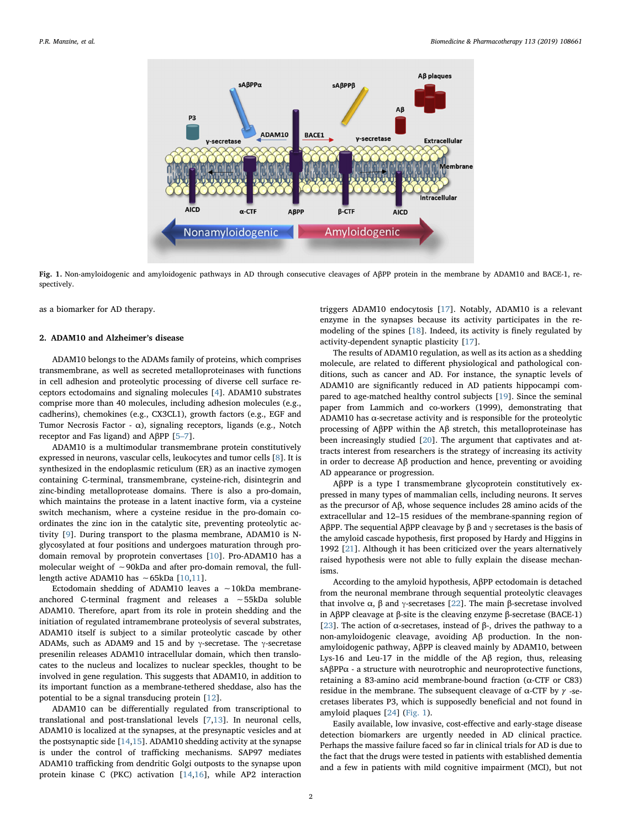<span id="page-1-0"></span>

Fig. 1. Non-amyloidogenic and amyloidogenic pathways in AD through consecutive cleavages of AβPP protein in the membrane by ADAM10 and BACE-1, respectively.

as a biomarker for AD therapy.

## 2. ADAM10 and Alzheimer's disease

ADAM10 belongs to the ADAMs family of proteins, which comprises transmembrane, as well as secreted metalloproteinases with functions in cell adhesion and proteolytic processing of diverse cell surface receptors ectodomains and signaling molecules [[4\]](#page-6-3). ADAM10 substrates comprise more than 40 molecules, including adhesion molecules (e.g., cadherins), chemokines (e.g., CX3CL1), growth factors (e.g., EGF and Tumor Necrosis Factor -  $\alpha$ ), signaling receptors, ligands (e.g., Notch receptor and Fas ligand) and AβPP [\[5](#page-6-4)–7].

ADAM10 is a multimodular transmembrane protein constitutively expressed in neurons, vascular cells, leukocytes and tumor cells [[8](#page-6-5)]. It is synthesized in the endoplasmic reticulum (ER) as an inactive zymogen containing C-terminal, transmembrane, cysteine-rich, disintegrin and zinc-binding metalloprotease domains. There is also a pro-domain, which maintains the protease in a latent inactive form, via a cysteine switch mechanism, where a cysteine residue in the pro-domain coordinates the zinc ion in the catalytic site, preventing proteolytic activity [\[9\]](#page-6-6). During transport to the plasma membrane, ADAM10 is Nglycosylated at four positions and undergoes maturation through prodomain removal by proprotein convertases [[10\]](#page-7-0). Pro-ADAM10 has a molecular weight of ∼90kDa and after pro-domain removal, the fulllength active ADAM10 has ∼65kDa [\[10](#page-7-0),[11\]](#page-7-1).

Ectodomain shedding of ADAM10 leaves a ∼10kDa membraneanchored C-terminal fragment and releases a ∼55kDa soluble ADAM10. Therefore, apart from its role in protein shedding and the initiation of regulated intramembrane proteolysis of several substrates, ADAM10 itself is subject to a similar proteolytic cascade by other ADAMs, such as ADAM9 and 15 and by  $\gamma$ -secretase. The  $\gamma$ -secretase presenilin releases ADAM10 intracellular domain, which then translocates to the nucleus and localizes to nuclear speckles, thought to be involved in gene regulation. This suggests that ADAM10, in addition to its important function as a membrane-tethered sheddase, also has the potential to be a signal transducing protein [\[12](#page-7-2)].

ADAM10 can be differentially regulated from transcriptional to translational and post-translational levels [[7](#page-6-7)[,13](#page-7-3)]. In neuronal cells, ADAM10 is localized at the synapses, at the presynaptic vesicles and at the postsynaptic side  $[14,15]$  $[14,15]$  $[14,15]$ . ADAM10 shedding activity at the synapse is under the control of trafficking mechanisms. SAP97 mediates ADAM10 trafficking from dendritic Golgi outposts to the synapse upon protein kinase C (PKC) activation [\[14](#page-7-4)[,16](#page-7-6)], while AP2 interaction

triggers ADAM10 endocytosis [\[17](#page-7-7)]. Notably, ADAM10 is a relevant enzyme in the synapses because its activity participates in the remodeling of the spines [\[18](#page-7-8)]. Indeed, its activity is finely regulated by activity-dependent synaptic plasticity [\[17](#page-7-7)].

The results of ADAM10 regulation, as well as its action as a shedding molecule, are related to different physiological and pathological conditions, such as cancer and AD. For instance, the synaptic levels of ADAM10 are significantly reduced in AD patients hippocampi compared to age-matched healthy control subjects [[19\]](#page-7-9). Since the seminal paper from Lammich and co-workers (1999), demonstrating that ADAM10 has  $\alpha$ -secretase activity and is responsible for the proteolytic processing of AβPP within the Aβ stretch, this metalloproteinase has been increasingly studied [[20\]](#page-7-10). The argument that captivates and attracts interest from researchers is the strategy of increasing its activity in order to decrease Aβ production and hence, preventing or avoiding AD appearance or progression.

AβPP is a type I transmembrane glycoprotein constitutively expressed in many types of mammalian cells, including neurons. It serves as the precursor of Aβ, whose sequence includes 28 amino acids of the extracellular and 12–15 residues of the membrane-spanning region of AβPP. The sequential AβPP cleavage by β and γ secretases is the basis of the amyloid cascade hypothesis, first proposed by Hardy and Higgins in 1992 [[21\]](#page-7-11). Although it has been criticized over the years alternatively raised hypothesis were not able to fully explain the disease mechanisms.

According to the amyloid hypothesis, AβPP ectodomain is detached from the neuronal membrane through sequential proteolytic cleavages that involve  $\alpha$ ,  $\beta$  and γ-secretases [\[22](#page-7-12)]. The main β-secretase involved in AβPP cleavage at β-site is the cleaving enzyme β-secretase (BACE-1) [[23\]](#page-7-13). The action of α-secretases, instead of β-, drives the pathway to a non-amyloidogenic cleavage, avoiding Aβ production. In the nonamyloidogenic pathway, AβPP is cleaved mainly by ADAM10, between Lys-16 and Leu-17 in the middle of the Aβ region, thus, releasing sAβPPα - a structure with neurotrophic and neuroprotective functions, retaining a 83-amino acid membrane-bound fraction (α-CTF or C83) residue in the membrane. The subsequent cleavage of α-CTF by *γ* -secretases liberates P3, which is supposedly beneficial and not found in amyloid plaques [[24\]](#page-7-14) ([Fig. 1](#page-1-0)).

Easily available, low invasive, cost-effective and early-stage disease detection biomarkers are urgently needed in AD clinical practice. Perhaps the massive failure faced so far in clinical trials for AD is due to the fact that the drugs were tested in patients with established dementia and a few in patients with mild cognitive impairment (MCI), but not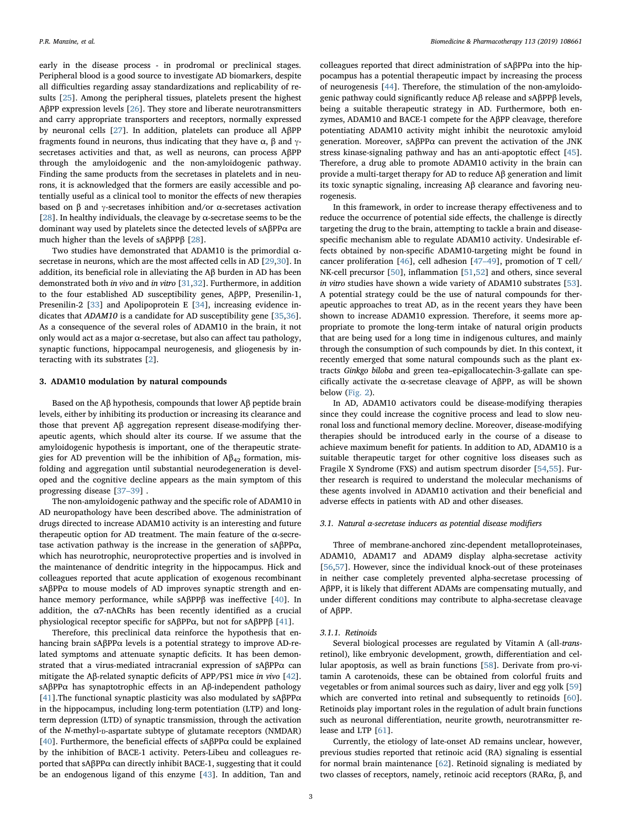early in the disease process - in prodromal or preclinical stages. Peripheral blood is a good source to investigate AD biomarkers, despite all difficulties regarding assay standardizations and replicability of results [[25\]](#page-7-15). Among the peripheral tissues, platelets present the highest AβPP expression levels [\[26](#page-7-16)]. They store and liberate neurotransmitters and carry appropriate transporters and receptors, normally expressed by neuronal cells [[27\]](#page-7-17). In addition, platelets can produce all AβPP fragments found in neurons, thus indicating that they have  $\alpha$ ,  $\beta$  and  $\gamma$ secretases activities and that, as well as neurons, can process AβPP through the amyloidogenic and the non-amyloidogenic pathway. Finding the same products from the secretases in platelets and in neurons, it is acknowledged that the formers are easily accessible and potentially useful as a clinical tool to monitor the effects of new therapies based on  $\beta$  and  $\gamma$ -secretases inhibition and/or  $\alpha$ -secretases activation [[28\]](#page-7-18). In healthy individuals, the cleavage by  $\alpha$ -secretase seems to be the dominant way used by platelets since the detected levels of sAβPPα are much higher than the levels of sAβPPβ [[28\]](#page-7-18).

Two studies have demonstrated that ADAM10 is the primordial αsecretase in neurons, which are the most affected cells in AD [[29,](#page-7-19)[30\]](#page-7-20). In addition, its beneficial role in alleviating the Aβ burden in AD has been demonstrated both in vivo and in vitro [[31,](#page-7-21)[32](#page-7-22)]. Furthermore, in addition to the four established AD susceptibility genes, AβPP, Presenilin-1, Presenilin-2 [\[33](#page-7-23)] and Apolipoprotein E [\[34](#page-7-24)], increasing evidence indicates that ADAM10 is a candidate for AD susceptibility gene [[35,](#page-7-25)[36](#page-7-26)]. As a consequence of the several roles of ADAM10 in the brain, it not only would act as a major α-secretase, but also can affect tau pathology, synaptic functions, hippocampal neurogenesis, and gliogenesis by interacting with its substrates [\[2\]](#page-6-1).

#### 3. ADAM10 modulation by natural compounds

Based on the Aβ hypothesis, compounds that lower Aβ peptide brain levels, either by inhibiting its production or increasing its clearance and those that prevent Aβ aggregation represent disease-modifying therapeutic agents, which should alter its course. If we assume that the amyloidogenic hypothesis is important, one of the therapeutic strategies for AD prevention will be the inhibition of  $A\beta_{42}$  formation, misfolding and aggregation until substantial neurodegeneration is developed and the cognitive decline appears as the main symptom of this progressing disease [37–[39\]](#page-7-27) .

The non-amyloidogenic pathway and the specific role of ADAM10 in AD neuropathology have been described above. The administration of drugs directed to increase ADAM10 activity is an interesting and future therapeutic option for AD treatment. The main feature of the α-secretase activation pathway is the increase in the generation of sAβPPα, which has neurotrophic, neuroprotective properties and is involved in the maintenance of dendritic integrity in the hippocampus. Hick and colleagues reported that acute application of exogenous recombinant sAβPPα to mouse models of AD improves synaptic strength and enhance memory performance, while sAβPPβ was ineffective [[40\]](#page-7-28). In addition, the α7-nAChRs has been recently identified as a crucial physiological receptor specific for sAβPPα, but not for sAβPPβ [\[41](#page-7-29)].

Therefore, this preclinical data reinforce the hypothesis that enhancing brain sAβPPα levels is a potential strategy to improve AD-related symptoms and attenuate synaptic deficits. It has been demonstrated that a virus-mediated intracranial expression of sAβPPα can mitigate the Aβ-related synaptic deficits of APP/PS1 mice in vivo [\[42](#page-7-30)]. sAβPPα has synaptotrophic effects in an Aβ-independent pathology [[41\]](#page-7-29). The functional synaptic plasticity was also modulated by  $sAβPPα$ in the hippocampus, including long-term potentiation (LTP) and longterm depression (LTD) of synaptic transmission, through the activation of the N-methyl-D-aspartate subtype of glutamate receptors (NMDAR) [[40\]](#page-7-28). Furthermore, the beneficial effects of sA $\beta$ PP $\alpha$  could be explained by the inhibition of BACE-1 activity. Peters-Libeu and colleagues reported that sAβPPα can directly inhibit BACE-1, suggesting that it could be an endogenous ligand of this enzyme [\[43](#page-7-31)]. In addition, Tan and colleagues reported that direct administration of sAβPPα into the hippocampus has a potential therapeutic impact by increasing the process of neurogenesis [\[44](#page-7-32)]. Therefore, the stimulation of the non-amyloidogenic pathway could significantly reduce Aβ release and sAβPPβ levels, being a suitable therapeutic strategy in AD. Furthermore, both enzymes, ADAM10 and BACE-1 compete for the AβPP cleavage, therefore potentiating ADAM10 activity might inhibit the neurotoxic amyloid generation. Moreover, sAβPPα can prevent the activation of the JNK stress kinase-signaling pathway and has an anti-apoptotic effect [\[45](#page-7-33)]. Therefore, a drug able to promote ADAM10 activity in the brain can provide a multi-target therapy for AD to reduce Aβ generation and limit its toxic synaptic signaling, increasing Aβ clearance and favoring neurogenesis.

In this framework, in order to increase therapy effectiveness and to reduce the occurrence of potential side effects, the challenge is directly targeting the drug to the brain, attempting to tackle a brain and diseasespecific mechanism able to regulate ADAM10 activity. Undesirable effects obtained by non-specific ADAM10-targeting might be found in cancer proliferation [\[46](#page-7-34)], cell adhesion [47–[49\]](#page-7-35), promotion of T cell/ NK-cell precursor [\[50](#page-7-36)], inflammation [[51,](#page-7-37)[52\]](#page-7-38) and others, since several in vitro studies have shown a wide variety of ADAM10 substrates [\[53](#page-7-39)]. A potential strategy could be the use of natural compounds for therapeutic approaches to treat AD, as in the recent years they have been shown to increase ADAM10 expression. Therefore, it seems more appropriate to promote the long-term intake of natural origin products that are being used for a long time in indigenous cultures, and mainly through the consumption of such compounds by diet. In this context, it recently emerged that some natural compounds such as the plant extracts Ginkgo biloba and green tea–epigallocatechin-3-gallate can specifically activate the α-secretase cleavage of AβPP, as will be shown below ([Fig. 2\)](#page-3-0).

In AD, ADAM10 activators could be disease-modifying therapies since they could increase the cognitive process and lead to slow neuronal loss and functional memory decline. Moreover, disease-modifying therapies should be introduced early in the course of a disease to achieve maximum benefit for patients. In addition to AD, ADAM10 is a suitable therapeutic target for other cognitive loss diseases such as Fragile X Syndrome (FXS) and autism spectrum disorder [[54,](#page-7-40)[55\]](#page-7-41). Further research is required to understand the molecular mechanisms of these agents involved in ADAM10 activation and their beneficial and adverse effects in patients with AD and other diseases.

#### 3.1. Natural α-secretase inducers as potential disease modifiers

Three of membrane-anchored zinc-dependent metalloproteinases, ADAM10, ADAM17 and ADAM9 display alpha-secretase activity [[56](#page-7-42)[,57](#page-7-43)]. However, since the individual knock-out of these proteinases in neither case completely prevented alpha-secretase processing of AβPP, it is likely that different ADAMs are compensating mutually, and under different conditions may contribute to alpha-secretase cleavage of AβPP.

#### 3.1.1. Retinoids

Several biological processes are regulated by Vitamin A (all-transretinol), like embryonic development, growth, differentiation and cellular apoptosis, as well as brain functions [[58\]](#page-7-44). Derivate from pro-vitamin A carotenoids, these can be obtained from colorful fruits and vegetables or from animal sources such as dairy, liver and egg yolk [\[59](#page-7-45)] which are converted into retinal and subsequently to retinoids [\[60](#page-7-46)]. Retinoids play important roles in the regulation of adult brain functions such as neuronal differentiation, neurite growth, neurotransmitter release and LTP [\[61](#page-8-0)].

Currently, the etiology of late-onset AD remains unclear, however, previous studies reported that retinoic acid (RA) signaling is essential for normal brain maintenance [\[62](#page-8-1)]. Retinoid signaling is mediated by two classes of receptors, namely, retinoic acid receptors (RARα, β, and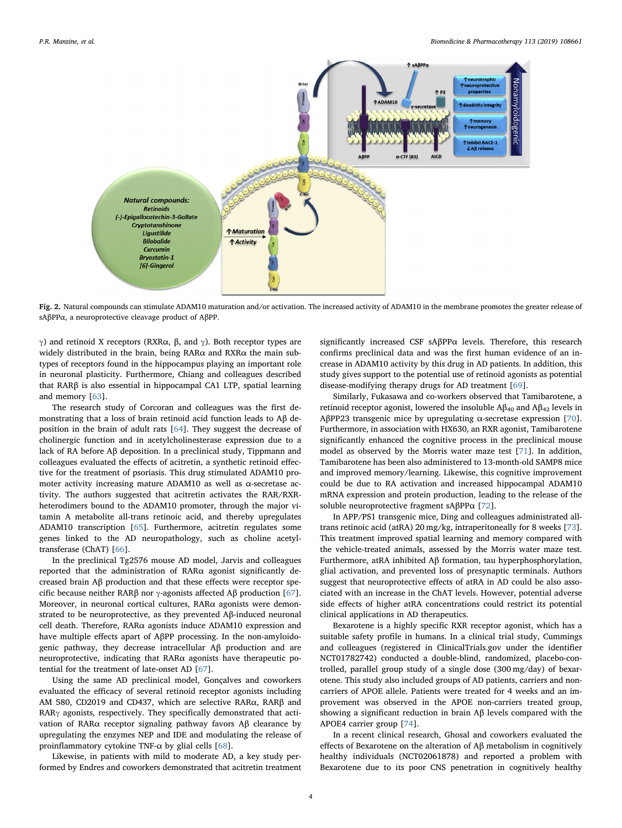<span id="page-3-0"></span>

Fig. 2. Natural compounds can stimulate ADAM10 maturation and/or activation. The increased activity of ADAM10 in the membrane promotes the greater release of sAβPPα, a neuroprotective cleavage product of AβPP.

γ) and retinoid X receptors (RXRα, β, and γ). Both receptor types are widely distributed in the brain, being RARα and RXRα the main subtypes of receptors found in the hippocampus playing an important role in neuronal plasticity. Furthermore, Chiang and colleagues described that RARβ is also essential in hippocampal CA1 LTP, spatial learning and memory [\[63](#page-8-2)].

The research study of Corcoran and colleagues was the first demonstrating that a loss of brain retinoid acid function leads to Aβ deposition in the brain of adult rats [\[64](#page-8-3)]. They suggest the decrease of cholinergic function and in acetylcholinesterase expression due to a lack of RA before Aβ deposition. In a preclinical study, Tippmann and colleagues evaluated the effects of acitretin, a synthetic retinoid effective for the treatment of psoriasis. This drug stimulated ADAM10 promoter activity increasing mature ADAM10 as well as α-secretase activity. The authors suggested that acitretin activates the RAR/RXRheterodimers bound to the ADAM10 promoter, through the major vitamin A metabolite all-trans retinoic acid, and thereby upregulates ADAM10 transcription [\[65](#page-8-4)]. Furthermore, acitretin regulates some genes linked to the AD neuropathology, such as choline acetyltransferase (ChAT) [\[66](#page-8-5)].

In the preclinical Tg2576 mouse AD model, Jarvis and colleagues reported that the administration of RARα agonist significantly decreased brain Aβ production and that these effects were receptor specific because neither RARβ nor  $γ$ -agonists affected Aβ production [\[67](#page-8-6)]. Moreover, in neuronal cortical cultures, RARα agonists were demonstrated to be neuroprotective, as they prevented Aβ-induced neuronal cell death. Therefore, RARα agonists induce ADAM10 expression and have multiple effects apart of AβPP processing. In the non-amyloidogenic pathway, they decrease intracellular Aβ production and are neuroprotective, indicating that RARα agonists have therapeutic potential for the treatment of late-onset AD [[67\]](#page-8-6).

Using the same AD preclinical model, Gonçalves and coworkers evaluated the efficacy of several retinoid receptor agonists including AM 580, CD2019 and CD437, which are selective RARα, RARβ and RARγ agonists, respectively. They specifically demonstrated that activation of RARα receptor signaling pathway favors Aβ clearance by upregulating the enzymes NEP and IDE and modulating the release of proinflammatory cytokine TNF- $\alpha$  by glial cells [[68\]](#page-8-7).

Likewise, in patients with mild to moderate AD, a key study performed by Endres and coworkers demonstrated that acitretin treatment significantly increased CSF sAβPPα levels. Therefore, this research confirms preclinical data and was the first human evidence of an increase in ADAM10 activity by this drug in AD patients. In addition, this study gives support to the potential use of retinoid agonists as potential disease-modifying therapy drugs for AD treatment [\[69](#page-8-8)].

Similarly, Fukasawa and co-workers observed that Tamibarotene, a retinoid receptor agonist, lowered the insoluble  $\text{A}\beta_{40}$  and  $\text{A}\beta_{42}$  levels in AβPP23 transgenic mice by upregulating α-secretase expression [\[70](#page-8-9)]. Furthermore, in association with HX630, an RXR agonist, Tamibarotene significantly enhanced the cognitive process in the preclinical mouse model as observed by the Morris water maze test [\[71](#page-8-10)]. In addition, Tamibarotene has been also administered to 13-month-old SAMP8 mice and improved memory/learning. Likewise, this cognitive improvement could be due to RA activation and increased hippocampal ADAM10 mRNA expression and protein production, leading to the release of the soluble neuroprotective fragment sAβPPα [\[72](#page-8-11)].

In APP/PS1 transgenic mice, Ding and colleagues administrated alltrans retinoic acid (atRA) 20 mg/kg, intraperitoneally for 8 weeks [\[73](#page-8-12)]. This treatment improved spatial learning and memory compared with the vehicle-treated animals, assessed by the Morris water maze test. Furthermore, atRA inhibited Aβ formation, tau hyperphosphorylation, glial activation, and prevented loss of presynaptic terminals. Authors suggest that neuroprotective effects of atRA in AD could be also associated with an increase in the ChAT levels. However, potential adverse side effects of higher atRA concentrations could restrict its potential clinical applications in AD therapeutics.

Bexarotene is a highly specific RXR receptor agonist, which has a suitable safety profile in humans. In a clinical trial study, Cummings and colleagues (registered in ClinicalTrials.gov under the identifier NCT01782742) conducted a double-blind, randomized, placebo-controlled, parallel group study of a single dose (300 mg/day) of bexarotene. This study also included groups of AD patients, carriers and noncarriers of APOE allele. Patients were treated for 4 weeks and an improvement was observed in the APOE non-carriers treated group, showing a significant reduction in brain Aβ levels compared with the APOE4 carrier group [[74\]](#page-8-13).

In a recent clinical research, Ghosal and coworkers evaluated the effects of Bexarotene on the alteration of Aβ metabolism in cognitively healthy individuals (NCT02061878) and reported a problem with Bexarotene due to its poor CNS penetration in cognitively healthy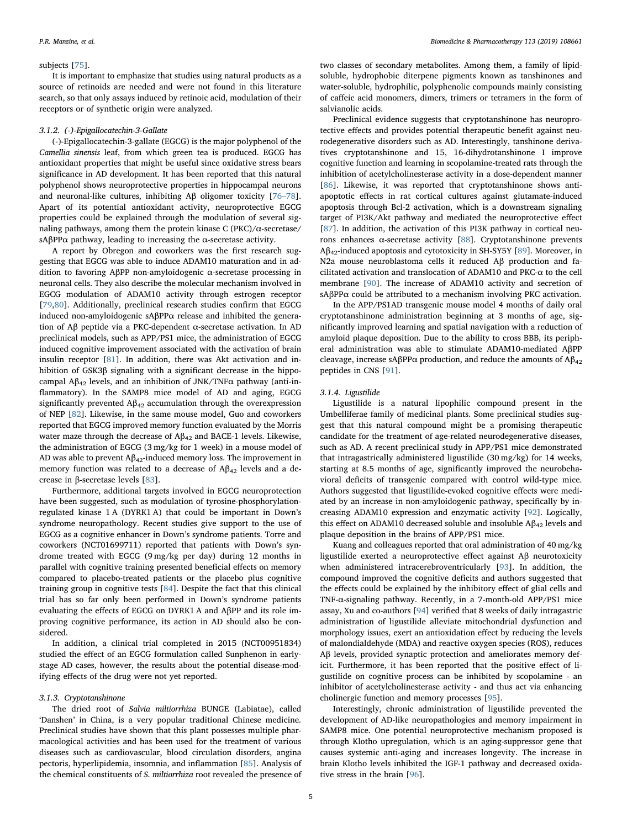#### subjects [[75\]](#page-8-14).

It is important to emphasize that studies using natural products as a source of retinoids are needed and were not found in this literature search, so that only assays induced by retinoic acid, modulation of their receptors or of synthetic origin were analyzed.

#### 3.1.2. (-)-Epigallocatechin-3-Gallate

(-)-Epigallocatechin-3-gallate (EGCG) is the major polyphenol of the Camellia sinensis leaf, from which green tea is produced. EGCG has antioxidant properties that might be useful since oxidative stress bears significance in AD development. It has been reported that this natural polyphenol shows neuroprotective properties in hippocampal neurons and neuronal-like cultures, inhibiting Aβ oligomer toxicity [\[76](#page-8-15)–78]. Apart of its potential antioxidant activity, neuroprotective EGCG properties could be explained through the modulation of several signaling pathways, among them the protein kinase C (PKC)/α-secretase/ sAβPPα pathway, leading to increasing the α-secretase activity.

A report by Obregon and coworkers was the first research suggesting that EGCG was able to induce ADAM10 maturation and in addition to favoring AβPP non-amyloidogenic α-secretase processing in neuronal cells. They also describe the molecular mechanism involved in EGCG modulation of ADAM10 activity through estrogen receptor [[79](#page-8-16)[,80](#page-8-17)]. Additionally, preclinical research studies confirm that EGCG induced non-amyloidogenic sAβPPα release and inhibited the generation of Aβ peptide via a PKC-dependent α-secretase activation. In AD preclinical models, such as APP/PS1 mice, the administration of EGCG induced cognitive improvement associated with the activation of brain insulin receptor [\[81](#page-8-18)]. In addition, there was Akt activation and inhibition of GSK3β signaling with a significant decrease in the hippocampal  $A\beta_{42}$  levels, and an inhibition of JNK/TNF $\alpha$  pathway (anti-inflammatory). In the SAMP8 mice model of AD and aging, EGCG significantly prevented  $A\beta_{42}$  accumulation through the overexpression of NEP [[82\]](#page-8-19). Likewise, in the same mouse model, Guo and coworkers reported that EGCG improved memory function evaluated by the Morris water maze through the decrease of  $A\beta_{42}$  and BACE-1 levels. Likewise, the administration of EGCG (3 mg/kg for 1 week) in a mouse model of AD was able to prevent  $A\beta_{42}$  induced memory loss. The improvement in memory function was related to a decrease of  $A\beta_{42}$  levels and a decrease in β-secretase levels [\[83](#page-8-20)].

Furthermore, additional targets involved in EGCG neuroprotection have been suggested, such as modulation of tyrosine-phosphorylationregulated kinase 1 A (DYRK1 A) that could be important in Down's syndrome neuropathology. Recent studies give support to the use of EGCG as a cognitive enhancer in Down's syndrome patients. Torre and coworkers (NCT01699711) reported that patients with Down's syndrome treated with EGCG (9 mg/kg per day) during 12 months in parallel with cognitive training presented beneficial effects on memory compared to placebo-treated patients or the placebo plus cognitive training group in cognitive tests [[84\]](#page-8-21). Despite the fact that this clinical trial has so far only been performed in Down's syndrome patients evaluating the effects of EGCG on DYRK1 A and AβPP and its role improving cognitive performance, its action in AD should also be considered.

In addition, a clinical trial completed in 2015 (NCT00951834) studied the effect of an EGCG formulation called Sunphenon in earlystage AD cases, however, the results about the potential disease-modifying effects of the drug were not yet reported.

#### 3.1.3. Cryptotanshinone

The dried root of Salvia miltiorrhiza BUNGE (Labiatae), called 'Danshen' in China, is a very popular traditional Chinese medicine. Preclinical studies have shown that this plant possesses multiple pharmacological activities and has been used for the treatment of various diseases such as cardiovascular, blood circulation disorders, angina pectoris, hyperlipidemia, insomnia, and inflammation [\[85](#page-8-22)]. Analysis of the chemical constituents of S. miltiorrhiza root revealed the presence of two classes of secondary metabolites. Among them, a family of lipidsoluble, hydrophobic diterpene pigments known as tanshinones and water-soluble, hydrophilic, polyphenolic compounds mainly consisting of caffeic acid monomers, dimers, trimers or tetramers in the form of salvianolic acids.

Preclinical evidence suggests that cryptotanshinone has neuroprotective effects and provides potential therapeutic benefit against neurodegenerative disorders such as AD. Interestingly, tanshinone derivatives cryptotanshinone and 15, 16-dihydrotanshinone I improve cognitive function and learning in scopolamine-treated rats through the inhibition of acetylcholinesterase activity in a dose-dependent manner [[86\]](#page-8-23). Likewise, it was reported that cryptotanshinone shows antiapoptotic effects in rat cortical cultures against glutamate-induced apoptosis through Bcl-2 activation, which is a downstream signaling target of PI3K/Akt pathway and mediated the neuroprotective effect [[87\]](#page-8-24). In addition, the activation of this PI3K pathway in cortical neurons enhances α-secretase activity [\[88](#page-8-25)]. Cryptotanshinone prevents  $A\beta_{42}$ -induced apoptosis and cytotoxicity in SH-SY5Y [[89\]](#page-8-26). Moreover, in N2a mouse neuroblastoma cells it reduced Aβ production and facilitated activation and translocation of ADAM10 and PKC-α to the cell membrane [\[90](#page-8-27)]. The increase of ADAM10 activity and secretion of sAβPPα could be attributed to a mechanism involving PKC activation.

In the APP/PS1AD transgenic mouse model 4 months of daily oral cryptotanshinone administration beginning at 3 months of age, significantly improved learning and spatial navigation with a reduction of amyloid plaque deposition. Due to the ability to cross BBB, its peripheral administration was able to stimulate ADAM10-mediated AβPP cleavage, increase sAβPP $α$  production, and reduce the amounts of  $Aβ<sub>42</sub>$ peptides in CNS [\[91](#page-8-28)].

#### 3.1.4. Ligustilide

Ligustilide is a natural lipophilic compound present in the Umbelliferae family of medicinal plants. Some preclinical studies suggest that this natural compound might be a promising therapeutic candidate for the treatment of age-related neurodegenerative diseases, such as AD. A recent preclinical study in APP/PS1 mice demonstrated that intragastrically administered ligustilide (30 mg/kg) for 14 weeks, starting at 8.5 months of age, significantly improved the neurobehavioral deficits of transgenic compared with control wild-type mice. Authors suggested that ligustilide-evoked cognitive effects were mediated by an increase in non-amyloidogenic pathway, specifically by increasing ADAM10 expression and enzymatic activity [\[92](#page-8-29)]. Logically, this effect on ADAM10 decreased soluble and insoluble  $Aβ<sub>42</sub>$  levels and plaque deposition in the brains of APP/PS1 mice.

Kuang and colleagues reported that oral administration of 40 mg/kg ligustilide exerted a neuroprotective effect against Aβ neurotoxicity when administered intracerebroventricularly [\[93](#page-8-30)]. In addition, the compound improved the cognitive deficits and authors suggested that the effects could be explained by the inhibitory effect of glial cells and TNF-α-signaling pathway. Recently, in a 7-month-old APP/PS1 mice assay, Xu and co-authors [[94\]](#page-8-31) verified that 8 weeks of daily intragastric administration of ligustilide alleviate mitochondrial dysfunction and morphology issues, exert an antioxidation effect by reducing the levels of malondialdehyde (MDA) and reactive oxygen species (ROS), reduces Aβ levels, provided synaptic protection and ameliorates memory deficit. Furthermore, it has been reported that the positive effect of ligustilide on cognitive process can be inhibited by scopolamine - an inhibitor of acetylcholinesterase activity - and thus act via enhancing cholinergic function and memory processes [[95\]](#page-8-32).

Interestingly, chronic administration of ligustilide prevented the development of AD-like neuropathologies and memory impairment in SAMP8 mice. One potential neuroprotective mechanism proposed is through Klotho upregulation, which is an aging-suppressor gene that causes systemic anti-aging and increases longevity. The increase in brain Klotho levels inhibited the IGF-1 pathway and decreased oxidative stress in the brain [\[96](#page-8-33)].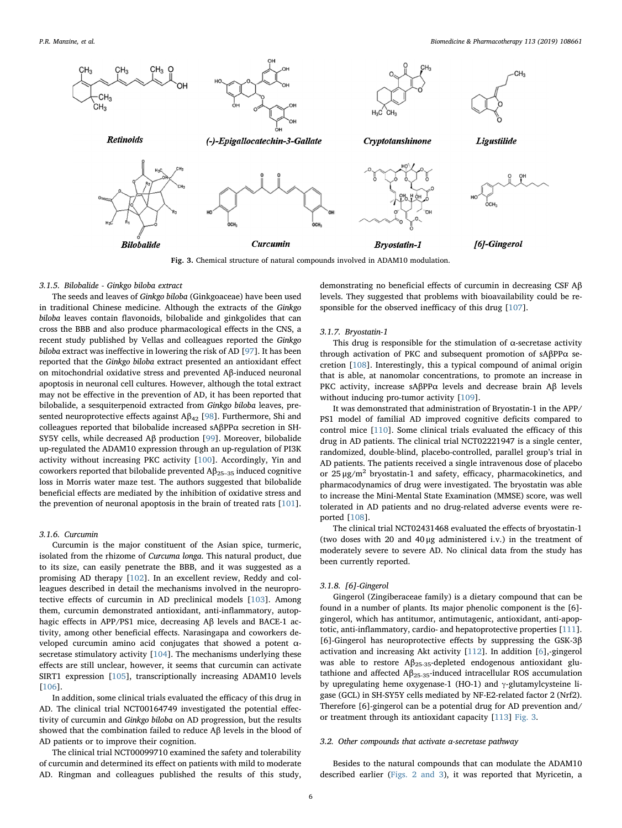<span id="page-5-0"></span>

Fig. 3. Chemical structure of natural compounds involved in ADAM10 modulation.

#### 3.1.5. Bilobalide - Ginkgo biloba extract

The seeds and leaves of Ginkgo biloba (Ginkgoaceae) have been used in traditional Chinese medicine. Although the extracts of the Ginkgo biloba leaves contain flavonoids, bilobalide and ginkgolides that can cross the BBB and also produce pharmacological effects in the CNS, a recent study published by Vellas and colleagues reported the Ginkgo biloba extract was ineffective in lowering the risk of AD [[97\]](#page-8-34). It has been reported that the Ginkgo biloba extract presented an antioxidant effect on mitochondrial oxidative stress and prevented Aβ-induced neuronal apoptosis in neuronal cell cultures. However, although the total extract may not be effective in the prevention of AD, it has been reported that bilobalide, a sesquiterpenoid extracted from Ginkgo biloba leaves, presented neuroprotective effects against  $A\beta_{42}$  [\[98](#page-8-35)]. Furthermore, Shi and colleagues reported that bilobalide increased sAβPPα secretion in SH-SY5Y cells, while decreased Aβ production [\[99](#page-8-36)]. Moreover, bilobalide up-regulated the ADAM10 expression through an up-regulation of PI3K activity without increasing PKC activity [[100\]](#page-8-37). Accordingly, Yin and coworkers reported that bilobalide prevented  $\mathbf{A}\beta_{25-35}$  induced cognitive loss in Morris water maze test. The authors suggested that bilobalide beneficial effects are mediated by the inhibition of oxidative stress and the prevention of neuronal apoptosis in the brain of treated rats [[101](#page-8-38)].

## 3.1.6. Curcumin

Curcumin is the major constituent of the Asian spice, turmeric, isolated from the rhizome of Curcuma longa. This natural product, due to its size, can easily penetrate the BBB, and it was suggested as a promising AD therapy [\[102\]](#page-8-39). In an excellent review, Reddy and colleagues described in detail the mechanisms involved in the neuroprotective effects of curcumin in AD preclinical models [\[103\]](#page-8-40). Among them, curcumin demonstrated antioxidant, anti-inflammatory, autophagic effects in APP/PS1 mice, decreasing Aβ levels and BACE-1 activity, among other beneficial effects. Narasingapa and coworkers developed curcumin amino acid conjugates that showed a potent α-secretase stimulatory activity [[104](#page-8-41)]. The mechanisms underlying these effects are still unclear, however, it seems that curcumin can activate SIRT1 expression [\[105\]](#page-8-42), transcriptionally increasing ADAM10 levels [[106](#page-8-43)].

In addition, some clinical trials evaluated the efficacy of this drug in AD. The clinical trial NCT00164749 investigated the potential effectivity of curcumin and Ginkgo biloba on AD progression, but the results showed that the combination failed to reduce Aβ levels in the blood of AD patients or to improve their cognition.

The clinical trial NCT00099710 examined the safety and tolerability of curcumin and determined its effect on patients with mild to moderate AD. Ringman and colleagues published the results of this study,

demonstrating no beneficial effects of curcumin in decreasing CSF Aβ levels. They suggested that problems with bioavailability could be responsible for the observed inefficacy of this drug [\[107\]](#page-9-0).

#### 3.1.7. Bryostatin-1

This drug is responsible for the stimulation of  $\alpha$ -secretase activity through activation of PKC and subsequent promotion of sAβPPα secretion [[108](#page-9-1)]. Interestingly, this a typical compound of animal origin that is able, at nanomolar concentrations, to promote an increase in PKC activity, increase sAβPPα levels and decrease brain Aβ levels without inducing pro-tumor activity [\[109\]](#page-9-2).

It was demonstrated that administration of Bryostatin-1 in the APP/ PS1 model of familial AD improved cognitive deficits compared to control mice [\[110\]](#page-9-3). Some clinical trials evaluated the efficacy of this drug in AD patients. The clinical trial NCT02221947 is a single center, randomized, double-blind, placebo-controlled, parallel group's trial in AD patients. The patients received a single intravenous dose of placebo or  $25 \mu g/m^2$  bryostatin-1 and safety, efficacy, pharmacokinetics, and pharmacodynamics of drug were investigated. The bryostatin was able to increase the Mini-Mental State Examination (MMSE) score, was well tolerated in AD patients and no drug-related adverse events were reported [[108](#page-9-1)].

The clinical trial NCT02431468 evaluated the effects of bryostatin-1 (two doses with 20 and 40 μg administered i.v.) in the treatment of moderately severe to severe AD. No clinical data from the study has been currently reported.

#### 3.1.8. [6]-Gingerol

Gingerol (Zingiberaceae family) is a dietary compound that can be found in a number of plants. Its major phenolic component is the [6] gingerol, which has antitumor, antimutagenic, antioxidant, anti-apoptotic, anti-inflammatory, cardio- and hepatoprotective properties [[111](#page-9-4)]. [6]-Gingerol has neuroprotective effects by suppressing the GSK-3β activation and increasing Akt activity [[112](#page-9-5)]. In addition [[6](#page-6-8)],-gingerol was able to restore Aβ<sub>25-35</sub>-depleted endogenous antioxidant glutathione and affected  $A\beta_{25-35}$ -induced intracellular ROS accumulation by upregulating heme oxygenase-1 (HO-1) and  $\gamma$ -glutamylcysteine ligase (GCL) in SH-SY5Y cells mediated by NF-E2-related factor 2 (Nrf2). Therefore [6]-gingerol can be a potential drug for AD prevention and/ or treatment through its antioxidant capacity [[113](#page-9-6)] [Fig. 3.](#page-5-0)

#### 3.2. Other compounds that activate α-secretase pathway

Besides to the natural compounds that can modulate the ADAM10 described earlier [\(Figs. 2 and 3\)](#page-3-0), it was reported that Myricetin, a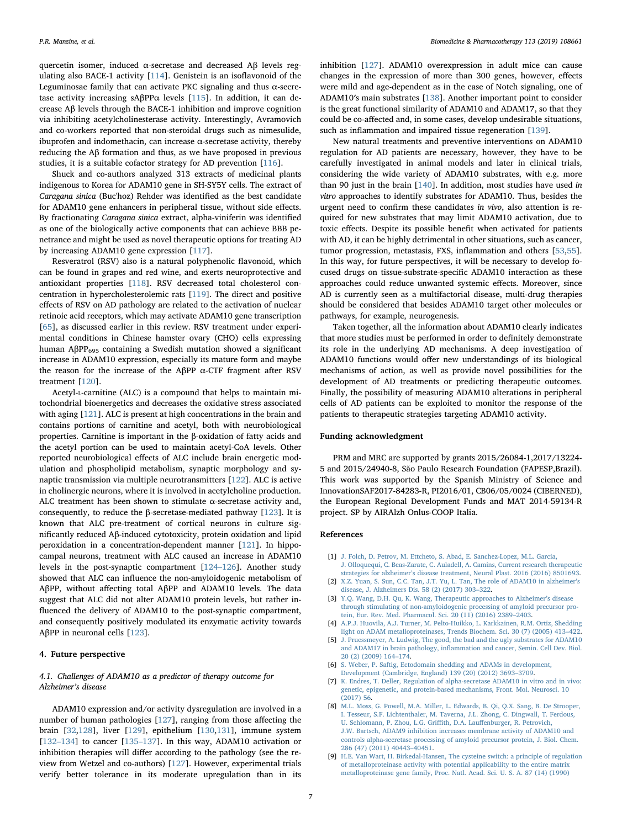quercetin isomer, induced α-secretase and decreased Aβ levels regulating also BACE-1 activity [\[114\]](#page-9-7). Genistein is an isoflavonoid of the Leguminosae family that can activate PKC signaling and thus α-secretase activity increasing sAβPP $α$  levels [[115](#page-9-8)]. In addition, it can decrease Aβ levels through the BACE-1 inhibition and improve cognition via inhibiting acetylcholinesterase activity. Interestingly, Avramovich and co-workers reported that non-steroidal drugs such as nimesulide, ibuprofen and indomethacin, can increase  $\alpha$ -secretase activity, thereby reducing the Aβ formation and thus, as we have proposed in previous studies, it is a suitable cofactor strategy for AD prevention [\[116\]](#page-9-9).

Shuck and co-authors analyzed 313 extracts of medicinal plants indigenous to Korea for ADAM10 gene in SH-SY5Y cells. The extract of Caragana sinica (Buc'hoz) Rehder was identified as the best candidate for ADAM10 gene enhancers in peripheral tissue, without side effects. By fractionating Caragana sinica extract, alpha-viniferin was identified as one of the biologically active components that can achieve BBB penetrance and might be used as novel therapeutic options for treating AD by increasing ADAM10 gene expression [[117](#page-9-10)].

Resveratrol (RSV) also is a natural polyphenolic flavonoid, which can be found in grapes and red wine, and exerts neuroprotective and antioxidant properties [\[118\]](#page-9-11). RSV decreased total cholesterol concentration in hypercholesterolemic rats [[119](#page-9-12)]. The direct and positive effects of RSV on AD pathology are related to the activation of nuclear retinoic acid receptors, which may activate ADAM10 gene transcription [[65\]](#page-8-4), as discussed earlier in this review. RSV treatment under experimental conditions in Chinese hamster ovary (CHO) cells expressing human AβPP<sub>695</sub> containing a Swedish mutation showed a significant increase in ADAM10 expression, especially its mature form and maybe the reason for the increase of the AβPP α-CTF fragment after RSV treatment [\[120\]](#page-9-13).

Acetyl-L-carnitine (ALC) is a compound that helps to maintain mitochondrial bioenergetics and decreases the oxidative stress associated with aging [\[121\]](#page-9-14). ALC is present at high concentrations in the brain and contains portions of carnitine and acetyl, both with neurobiological properties. Carnitine is important in the β-oxidation of fatty acids and the acetyl portion can be used to maintain acetyl-CoA levels. Other reported neurobiological effects of ALC include brain energetic modulation and phospholipid metabolism, synaptic morphology and synaptic transmission via multiple neurotransmitters [[122](#page-9-15)]. ALC is active in cholinergic neurons, where it is involved in acetylcholine production. ALC treatment has been shown to stimulate  $\alpha$ -secretase activity and, consequently, to reduce the β-secretase-mediated pathway [[123](#page-9-16)]. It is known that ALC pre-treatment of cortical neurons in culture significantly reduced Aβ-induced cytotoxicity, protein oxidation and lipid peroxidation in a concentration-dependent manner [[121](#page-9-14)]. In hippocampal neurons, treatment with ALC caused an increase in ADAM10 levels in the post-synaptic compartment [\[124](#page-9-17)–126]. Another study showed that ALC can influence the non-amyloidogenic metabolism of AβPP, without affecting total AβPP and ADAM10 levels. The data suggest that ALC did not alter ADAM10 protein levels, but rather influenced the delivery of ADAM10 to the post-synaptic compartment, and consequently positively modulated its enzymatic activity towards AβPP in neuronal cells  $[123]$  $[123]$  $[123]$ .

#### 4. Future perspective

## 4.1. Challenges of ADAM10 as a predictor of therapy outcome for Alzheimer's disease

ADAM10 expression and/or activity dysregulation are involved in a number of human pathologies [\[127\]](#page-9-18), ranging from those affecting the brain [[32](#page-7-22)[,128\]](#page-9-19), liver [[129](#page-9-20)], epithelium [\[130,](#page-9-21)[131](#page-9-22)], immune system [132–[134\]](#page-9-23) to cancer [\[135](#page-9-24)–137]. In this way, ADAM10 activation or inhibition therapies will differ according to the pathology (see the review from Wetzel and co-authors) [\[127\]](#page-9-18). However, experimental trials verify better tolerance in its moderate upregulation than in its inhibition [\[127\]](#page-9-18). ADAM10 overexpression in adult mice can cause changes in the expression of more than 300 genes, however, effects were mild and age-dependent as in the case of Notch signaling, one of ADAM10′s main substrates [[138\]](#page-9-25). Another important point to consider is the great functional similarity of ADAM10 and ADAM17, so that they could be co-affected and, in some cases, develop undesirable situations, such as inflammation and impaired tissue regeneration [[139](#page-9-26)].

New natural treatments and preventive interventions on ADAM10 regulation for AD patients are necessary, however, they have to be carefully investigated in animal models and later in clinical trials, considering the wide variety of ADAM10 substrates, with e.g. more than 90 just in the brain [\[140\]](#page-9-27). In addition, most studies have used in vitro approaches to identify substrates for ADAM10. Thus, besides the urgent need to confirm these candidates in vivo, also attention is required for new substrates that may limit ADAM10 activation, due to toxic effects. Despite its possible benefit when activated for patients with AD, it can be highly detrimental in other situations, such as cancer, tumor progression, metastasis, FXS, inflammation and others [[53,](#page-7-39)[55](#page-7-41)]. In this way, for future perspectives, it will be necessary to develop focused drugs on tissue-substrate-specific ADAM10 interaction as these approaches could reduce unwanted systemic effects. Moreover, since AD is currently seen as a multifactorial disease, multi-drug therapies should be considered that besides ADAM10 target other molecules or pathways, for example, neurogenesis.

Taken together, all the information about ADAM10 clearly indicates that more studies must be performed in order to definitely demonstrate its role in the underlying AD mechanisms. A deep investigation of ADAM10 functions would offer new understandings of its biological mechanisms of action, as well as provide novel possibilities for the development of AD treatments or predicting therapeutic outcomes. Finally, the possibility of measuring ADAM10 alterations in peripheral cells of AD patients can be exploited to monitor the response of the patients to therapeutic strategies targeting ADAM10 activity.

#### Funding acknowledgment

PRM and MRC are supported by grants 2015/26084-1,2017/13224- 5 and 2015/24940-8, São Paulo Research Foundation (FAPESP,Brazil). This work was supported by the Spanish Ministry of Science and InnovationSAF2017-84283-R, PI2016/01, CB06/05/0024 (CIBERNED), the European Regional Development Funds and MAT 2014-59134-R project. SP by AIRAlzh Onlus-COOP Italia.

#### References

- <span id="page-6-0"></span>[1] [J. Folch, D. Petrov, M. Ettcheto, S. Abad, E. Sanchez-Lopez, M.L. Garcia,](http://refhub.elsevier.com/S0753-3322(18)37032-X/sbref0005) [J. Olloquequi, C. Beas-Zarate, C. Auladell, A. Camins, Current research therapeutic](http://refhub.elsevier.com/S0753-3322(18)37032-X/sbref0005) strategies for alzheimer'[s disease treatment, Neural Plast. 2016 \(2016\) 8501693.](http://refhub.elsevier.com/S0753-3322(18)37032-X/sbref0005)
- <span id="page-6-1"></span>[2] [X.Z. Yuan, S. Sun, C.C. Tan, J.T. Yu, L. Tan, The role of ADAM10 in alzheimer](http://refhub.elsevier.com/S0753-3322(18)37032-X/sbref0010)'s [disease, J. Alzheimers Dis. 58 \(2\) \(2017\) 303](http://refhub.elsevier.com/S0753-3322(18)37032-X/sbref0010)–322.
- <span id="page-6-2"></span>[3] [Y.Q. Wang, D.H. Qu, K. Wang, Therapeutic approaches to Alzheimer](http://refhub.elsevier.com/S0753-3322(18)37032-X/sbref0015)'s disease [through stimulating of non-amyloidogenic processing of amyloid precursor pro](http://refhub.elsevier.com/S0753-3322(18)37032-X/sbref0015)[tein, Eur. Rev. Med. Pharmacol. Sci. 20 \(11\) \(2016\) 2389](http://refhub.elsevier.com/S0753-3322(18)37032-X/sbref0015)–2403.
- <span id="page-6-3"></span>[4] [A.P.J. Huovila, A.J. Turner, M. Pelto-Huikko, L. Karkkainen, R.M. Ortiz, Shedding](http://refhub.elsevier.com/S0753-3322(18)37032-X/sbref0020) [light on ADAM metalloproteinases, Trends Biochem. Sci. 30 \(7\) \(2005\) 413](http://refhub.elsevier.com/S0753-3322(18)37032-X/sbref0020)–422.
- <span id="page-6-4"></span>[5] [J. Pruessmeyer, A. Ludwig, The good, the bad and the ugly substrates for ADAM10](http://refhub.elsevier.com/S0753-3322(18)37032-X/sbref0025) and ADAM17 in brain pathology, infl[ammation and cancer, Semin. Cell Dev. Biol.](http://refhub.elsevier.com/S0753-3322(18)37032-X/sbref0025) [20 \(2\) \(2009\) 164](http://refhub.elsevier.com/S0753-3322(18)37032-X/sbref0025)–174.
- <span id="page-6-8"></span>[6] [S. Weber, P. Saftig, Ectodomain shedding and ADAMs in development,](http://refhub.elsevier.com/S0753-3322(18)37032-X/sbref0030) [Development \(Cambridge, England\) 139 \(20\) \(2012\) 3693](http://refhub.elsevier.com/S0753-3322(18)37032-X/sbref0030)–3709.
- <span id="page-6-7"></span>[7] [K. Endres, T. Deller, Regulation of alpha-secretase ADAM10 in vitro and in vivo:](http://refhub.elsevier.com/S0753-3322(18)37032-X/sbref0035) [genetic, epigenetic, and protein-based mechanisms, Front. Mol. Neurosci. 10](http://refhub.elsevier.com/S0753-3322(18)37032-X/sbref0035) [\(2017\) 56.](http://refhub.elsevier.com/S0753-3322(18)37032-X/sbref0035)
- <span id="page-6-5"></span>[8] [M.L. Moss, G. Powell, M.A. Miller, L. Edwards, B. Qi, Q.X. Sang, B. De Strooper,](http://refhub.elsevier.com/S0753-3322(18)37032-X/sbref0040) [I. Tesseur, S.F. Lichtenthaler, M. Taverna, J.L. Zhong, C. Dingwall, T. Ferdous,](http://refhub.elsevier.com/S0753-3322(18)37032-X/sbref0040) [U. Schlomann, P. Zhou, L.G. Gri](http://refhub.elsevier.com/S0753-3322(18)37032-X/sbref0040)ffith, D.A. Lauffenburger, R. Petrovich, [J.W. Bartsch, ADAM9 inhibition increases membrane activity of ADAM10 and](http://refhub.elsevier.com/S0753-3322(18)37032-X/sbref0040) [controls alpha-secretase processing of amyloid precursor protein, J. Biol. Chem.](http://refhub.elsevier.com/S0753-3322(18)37032-X/sbref0040) [286 \(47\) \(2011\) 40443](http://refhub.elsevier.com/S0753-3322(18)37032-X/sbref0040)–40451.
- <span id="page-6-6"></span>[9] [H.E. Van Wart, H. Birkedal-Hansen, The cysteine switch: a principle of regulation](http://refhub.elsevier.com/S0753-3322(18)37032-X/sbref0045) [of metalloproteinase activity with potential applicability to the entire matrix](http://refhub.elsevier.com/S0753-3322(18)37032-X/sbref0045) [metalloproteinase gene family, Proc. Natl. Acad. Sci. U. S. A. 87 \(14\) \(1990\)](http://refhub.elsevier.com/S0753-3322(18)37032-X/sbref0045)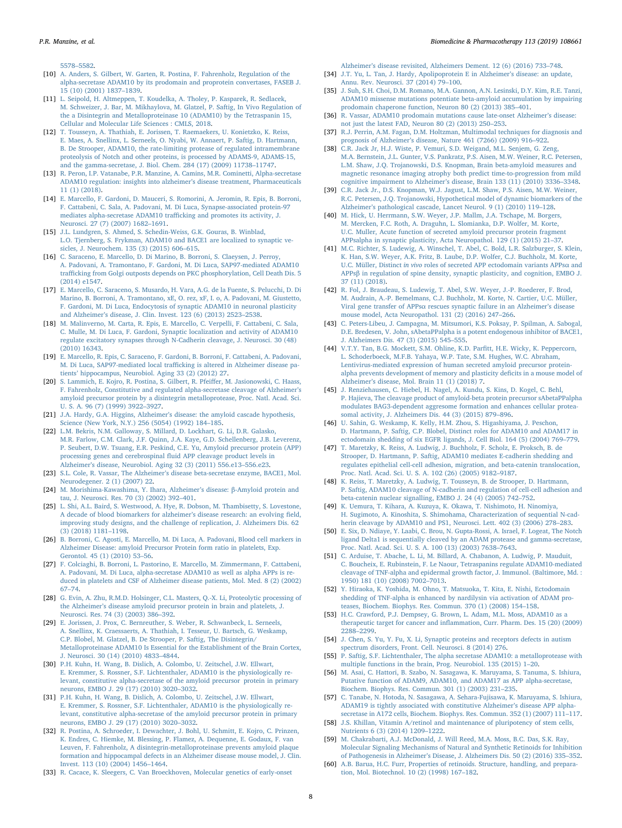5578–[5582.](http://refhub.elsevier.com/S0753-3322(18)37032-X/sbref0045)

- <span id="page-7-0"></span>[10] [A. Anders, S. Gilbert, W. Garten, R. Postina, F. Fahrenholz, Regulation of the](http://refhub.elsevier.com/S0753-3322(18)37032-X/sbref0050) [alpha-secretase ADAM10 by its prodomain and proprotein convertases, FASEB J.](http://refhub.elsevier.com/S0753-3322(18)37032-X/sbref0050) [15 \(10\) \(2001\) 1837](http://refhub.elsevier.com/S0753-3322(18)37032-X/sbref0050)–1839.
- <span id="page-7-1"></span>[11] [L. Seipold, H. Altmeppen, T. Koudelka, A. Tholey, P. Kasparek, R. Sedlacek,](http://refhub.elsevier.com/S0753-3322(18)37032-X/sbref0055) [M. Schweizer, J. Bar, M. Mikhaylova, M. Glatzel, P. Saftig, In Vivo Regulation of](http://refhub.elsevier.com/S0753-3322(18)37032-X/sbref0055) [the a Disintegrin and Metalloproteinase 10 \(ADAM10\) by the Tetraspanin 15,](http://refhub.elsevier.com/S0753-3322(18)37032-X/sbref0055) [Cellular and Molecular Life Sciences : CMLS, 2018.](http://refhub.elsevier.com/S0753-3322(18)37032-X/sbref0055)
- <span id="page-7-2"></span>[12] [T. Tousseyn, A. Thathiah, E. Jorissen, T. Raemaekers, U. Konietzko, K. Reiss,](http://refhub.elsevier.com/S0753-3322(18)37032-X/sbref0060) [E. Maes, A. Snellinx, L. Serneels, O. Nyabi, W. Annaert, P. Saftig, D. Hartmann,](http://refhub.elsevier.com/S0753-3322(18)37032-X/sbref0060) [B. De Strooper, ADAM10, the rate-limiting protease of regulated intramembrane](http://refhub.elsevier.com/S0753-3322(18)37032-X/sbref0060) [proteolysis of Notch and other proteins, is processed by ADAMS-9, ADAMS-15,](http://refhub.elsevier.com/S0753-3322(18)37032-X/sbref0060) [and the gamma-secretase, J. Biol. Chem. 284 \(17\) \(2009\) 11738](http://refhub.elsevier.com/S0753-3322(18)37032-X/sbref0060)–11747.
- <span id="page-7-3"></span>[13] [R. Peron, I.P. Vatanabe, P.R. Manzine, A. Camins, M.R. Cominetti, Alpha-secretase](http://refhub.elsevier.com/S0753-3322(18)37032-X/sbref0065) [ADAM10 regulation: insights into alzheimer](http://refhub.elsevier.com/S0753-3322(18)37032-X/sbref0065)'s disease treatment, Pharmaceuticals [11 \(1\) \(2018\).](http://refhub.elsevier.com/S0753-3322(18)37032-X/sbref0065)
- <span id="page-7-4"></span>[14] [E. Marcello, F. Gardoni, D. Mauceri, S. Romorini, A. Jeromin, R. Epis, B. Borroni,](http://refhub.elsevier.com/S0753-3322(18)37032-X/sbref0070) [F. Cattabeni, C. Sala, A. Padovani, M. Di Luca, Synapse-associated protein-97](http://refhub.elsevier.com/S0753-3322(18)37032-X/sbref0070) [mediates alpha-secretase ADAM10 tra](http://refhub.elsevier.com/S0753-3322(18)37032-X/sbref0070)fficking and promotes its activity, J. [Neurosci. 27 \(7\) \(2007\) 1682](http://refhub.elsevier.com/S0753-3322(18)37032-X/sbref0070)–1691.
- <span id="page-7-5"></span>[15] [J.L. Lundgren, S. Ahmed, S. Schedin-Weiss, G.K. Gouras, B. Winblad,](http://refhub.elsevier.com/S0753-3322(18)37032-X/sbref0075) [L.O. Tjernberg, S. Frykman, ADAM10 and BACE1 are localized to synaptic ve](http://refhub.elsevier.com/S0753-3322(18)37032-X/sbref0075)[sicles, J. Neurochem. 135 \(3\) \(2015\) 606](http://refhub.elsevier.com/S0753-3322(18)37032-X/sbref0075)–615.
- <span id="page-7-6"></span>[16] [C. Saraceno, E. Marcello, D. Di Marino, B. Borroni, S. Claeysen, J. Perroy,](http://refhub.elsevier.com/S0753-3322(18)37032-X/sbref0080) [A. Padovani, A. Tramontano, F. Gardoni, M. Di Luca, SAP97-mediated ADAM10](http://refhub.elsevier.com/S0753-3322(18)37032-X/sbref0080) traffi[cking from Golgi outposts depends on PKC phosphorylation, Cell Death Dis. 5](http://refhub.elsevier.com/S0753-3322(18)37032-X/sbref0080) [\(2014\) e1547.](http://refhub.elsevier.com/S0753-3322(18)37032-X/sbref0080)
- <span id="page-7-7"></span>[17] [E. Marcello, C. Saraceno, S. Musardo, H. Vara, A.G. de la Fuente, S. Pelucchi, D. Di](http://refhub.elsevier.com/S0753-3322(18)37032-X/sbref0085) [Marino, B. Borroni, A. Tramontano, xE, O. rez, xF, I. o, A. Padovani, M. Giustetto,](http://refhub.elsevier.com/S0753-3322(18)37032-X/sbref0085) [F. Gardoni, M. Di Luca, Endocytosis of synaptic ADAM10 in neuronal plasticity](http://refhub.elsevier.com/S0753-3322(18)37032-X/sbref0085) and Alzheimer'[s disease, J. Clin. Invest. 123 \(6\) \(2013\) 2523](http://refhub.elsevier.com/S0753-3322(18)37032-X/sbref0085)–2538.
- <span id="page-7-8"></span>[18] [M. Malinverno, M. Carta, R. Epis, E. Marcello, C. Verpelli, F. Cattabeni, C. Sala,](http://refhub.elsevier.com/S0753-3322(18)37032-X/sbref0090) [C. Mulle, M. Di Luca, F. Gardoni, Synaptic localization and activity of ADAM10](http://refhub.elsevier.com/S0753-3322(18)37032-X/sbref0090) [regulate excitatory synapses through N-Cadherin cleavage, J. Neurosci. 30 \(48\)](http://refhub.elsevier.com/S0753-3322(18)37032-X/sbref0090) [\(2010\) 16343.](http://refhub.elsevier.com/S0753-3322(18)37032-X/sbref0090)
- <span id="page-7-9"></span>[19] [E. Marcello, R. Epis, C. Saraceno, F. Gardoni, B. Borroni, F. Cattabeni, A. Padovani,](http://refhub.elsevier.com/S0753-3322(18)37032-X/sbref0095) M. Di Luca, SAP97-mediated local traffi[cking is altered in Alzheimer disease pa](http://refhub.elsevier.com/S0753-3322(18)37032-X/sbref0095)tients' [hippocampus, Neurobiol. Aging 33 \(2\) \(2012\) 27.](http://refhub.elsevier.com/S0753-3322(18)37032-X/sbref0095)
- <span id="page-7-10"></span>[20] [S. Lammich, E. Kojro, R. Postina, S. Gilbert, R. Pfei](http://refhub.elsevier.com/S0753-3322(18)37032-X/sbref0100)ffer, M. Jasionowski, C. Haass, [F. Fahrenholz, Constitutive and regulated alpha-secretase cleavage of Alzheimer](http://refhub.elsevier.com/S0753-3322(18)37032-X/sbref0100)'s [amyloid precursor protein by a disintegrin metalloprotease, Proc. Natl. Acad. Sci.](http://refhub.elsevier.com/S0753-3322(18)37032-X/sbref0100) [U. S. A. 96 \(7\) \(1999\) 3922](http://refhub.elsevier.com/S0753-3322(18)37032-X/sbref0100)–3927.
- <span id="page-7-11"></span>[21] J.A. Hardy, G.A. Higgins, Alzheimer'[s disease: the amyloid cascade hypothesis,](http://refhub.elsevier.com/S0753-3322(18)37032-X/sbref0105) [Science \(New York, N.Y.\) 256 \(5054\) \(1992\) 184](http://refhub.elsevier.com/S0753-3322(18)37032-X/sbref0105)–185.
- <span id="page-7-12"></span>[22] [L.M. Bekris, N.M. Galloway, S. Millard, D. Lockhart, G. Li, D.R. Galasko,](http://refhub.elsevier.com/S0753-3322(18)37032-X/sbref0110) M.R. [Farlow, C.M. Clark, J.F. Quinn, J.A. Kaye, G.D. Schellenberg, J.B. Leverenz,](http://refhub.elsevier.com/S0753-3322(18)37032-X/sbref0110) [P. Seubert, D.W. Tsuang, E.R. Peskind, C.E. Yu, Amyloid precursor protein \(APP\)](http://refhub.elsevier.com/S0753-3322(18)37032-X/sbref0110) [processing genes and cerebrospinal](http://refhub.elsevier.com/S0753-3322(18)37032-X/sbref0110) fluid APP cleavage product levels in Alzheimer'[s disease, Neurobiol. Aging 32 \(3\) \(2011\) 556.e13](http://refhub.elsevier.com/S0753-3322(18)37032-X/sbref0110)–556.e23.
- <span id="page-7-13"></span>[23] S.L. Cole, R. Vassar, The Alzheimer'[s disease beta-secretase enzyme, BACE1, Mol.](http://refhub.elsevier.com/S0753-3322(18)37032-X/sbref0115) [Neurodegener. 2 \(1\) \(2007\) 22.](http://refhub.elsevier.com/S0753-3322(18)37032-X/sbref0115)
- <span id="page-7-14"></span>[24] [M. Morishima-Kawashima, Y. Ihara, Alzheimer](http://refhub.elsevier.com/S0753-3322(18)37032-X/sbref0120)'s disease: β-Amyloid protein and [tau, J. Neurosci. Res. 70 \(3\) \(2002\) 392](http://refhub.elsevier.com/S0753-3322(18)37032-X/sbref0120)–401.
- <span id="page-7-15"></span>[25] [L. Shi, A.L. Baird, S. Westwood, A. Hye, R. Dobson, M. Thambisetty, S. Lovestone,](http://refhub.elsevier.com/S0753-3322(18)37032-X/sbref0125) [A decade of blood biomarkers for alzheimer](http://refhub.elsevier.com/S0753-3322(18)37032-X/sbref0125)'s disease research: an evolving field, [improving study designs, and the challenge of replication, J. Alzheimers Dis. 62](http://refhub.elsevier.com/S0753-3322(18)37032-X/sbref0125) [\(3\) \(2018\) 1181](http://refhub.elsevier.com/S0753-3322(18)37032-X/sbref0125)–1198.
- <span id="page-7-16"></span>[26] [B. Borroni, C. Agosti, E. Marcello, M. Di Luca, A. Padovani, Blood cell markers in](http://refhub.elsevier.com/S0753-3322(18)37032-X/sbref0130) [Alzheimer Disease: amyloid Precursor Protein form ratio in platelets, Exp.](http://refhub.elsevier.com/S0753-3322(18)37032-X/sbref0130) [Gerontol. 45 \(1\) \(2010\) 53](http://refhub.elsevier.com/S0753-3322(18)37032-X/sbref0130)–56.
- <span id="page-7-17"></span>[27] [F. Colciaghi, B. Borroni, L. Pastorino, E. Marcello, M. Zimmermann, F. Cattabeni,](http://refhub.elsevier.com/S0753-3322(18)37032-X/sbref0135) [A. Padovani, M. Di Luca, alpha-secretase ADAM10 as well as alpha APPs is re](http://refhub.elsevier.com/S0753-3322(18)37032-X/sbref0135)[duced in platelets and CSF of Alzheimer disease patients, Mol. Med. 8 \(2\) \(2002\)](http://refhub.elsevier.com/S0753-3322(18)37032-X/sbref0135) 67–[74.](http://refhub.elsevier.com/S0753-3322(18)37032-X/sbref0135)
- <span id="page-7-18"></span>[28] [G. Evin, A. Zhu, R.M.D. Holsinger, C.L. Masters, Q.-X. Li, Proteolytic processing of](http://refhub.elsevier.com/S0753-3322(18)37032-X/sbref0140) the Alzheimer'[s disease amyloid precursor protein in brain and platelets, J.](http://refhub.elsevier.com/S0753-3322(18)37032-X/sbref0140) [Neurosci. Res. 74 \(3\) \(2003\) 386](http://refhub.elsevier.com/S0753-3322(18)37032-X/sbref0140)–392.
- <span id="page-7-19"></span>[29] [E. Jorissen, J. Prox, C. Bernreuther, S. Weber, R. Schwanbeck, L. Serneels,](http://refhub.elsevier.com/S0753-3322(18)37032-X/sbref0145) [A. Snellinx, K. Craessaerts, A. Thathiah, I. Tesseur, U. Bartsch, G. Weskamp,](http://refhub.elsevier.com/S0753-3322(18)37032-X/sbref0145) [C.P. Blobel, M. Glatzel, B. De Strooper, P. Saftig, The Disintegrin/](http://refhub.elsevier.com/S0753-3322(18)37032-X/sbref0145) [Metalloproteinase ADAM10 Is Essential for the Establishment of the Brain Cortex,](http://refhub.elsevier.com/S0753-3322(18)37032-X/sbref0145) [J. Neurosci. 30 \(14\) \(2010\) 4833](http://refhub.elsevier.com/S0753-3322(18)37032-X/sbref0145)–4844.
- <span id="page-7-20"></span>[30] [P.H. Kuhn, H. Wang, B. Dislich, A. Colombo, U. Zeitschel, J.W. Ellwart,](http://refhub.elsevier.com/S0753-3322(18)37032-X/sbref0150) [E. Kremmer, S. Rossner, S.F. Lichtenthaler, ADAM10 is the physiologically re](http://refhub.elsevier.com/S0753-3322(18)37032-X/sbref0150)[levant, constitutive alpha-secretase of the amyloid precursor protein in primary](http://refhub.elsevier.com/S0753-3322(18)37032-X/sbref0150) [neurons, EMBO J. 29 \(17\) \(2010\) 3020](http://refhub.elsevier.com/S0753-3322(18)37032-X/sbref0150)–3032.
- <span id="page-7-21"></span>[31] [P.H. Kuhn, H. Wang, B. Dislich, A. Colombo, U. Zeitschel, J.W. Ellwart,](http://refhub.elsevier.com/S0753-3322(18)37032-X/sbref0155) [E. Kremmer, S. Rossner, S.F. Lichtenthaler, ADAM10 is the physiologically re](http://refhub.elsevier.com/S0753-3322(18)37032-X/sbref0155)[levant, constitutive alpha-secretase of the amyloid precursor protein in primary](http://refhub.elsevier.com/S0753-3322(18)37032-X/sbref0155) [neurons, EMBO J. 29 \(17\) \(2010\) 3020](http://refhub.elsevier.com/S0753-3322(18)37032-X/sbref0155)–3032.
- <span id="page-7-22"></span>[32] [R. Postina, A. Schroeder, I. Dewachter, J. Bohl, U. Schmitt, E. Kojro, C. Prinzen,](http://refhub.elsevier.com/S0753-3322(18)37032-X/sbref0160) [K. Endres, C. Hiemke, M. Blessing, P. Flamez, A. Dequenne, E. Godaux, F. van](http://refhub.elsevier.com/S0753-3322(18)37032-X/sbref0160) [Leuven, F. Fahrenholz, A disintegrin-metalloproteinase prevents amyloid plaque](http://refhub.elsevier.com/S0753-3322(18)37032-X/sbref0160) [formation and hippocampal defects in an Alzheimer disease mouse model, J. Clin.](http://refhub.elsevier.com/S0753-3322(18)37032-X/sbref0160) [Invest. 113 \(10\) \(2004\) 1456](http://refhub.elsevier.com/S0753-3322(18)37032-X/sbref0160)–1464.
- <span id="page-7-23"></span>[33] [R. Cacace, K. Sleegers, C. Van Broeckhoven, Molecular genetics of early-onset](http://refhub.elsevier.com/S0753-3322(18)37032-X/sbref0165)

Alzheimer'[s disease revisited, Alzheimers Dement. 12 \(6\) \(2016\) 733](http://refhub.elsevier.com/S0753-3322(18)37032-X/sbref0165)–748.

- <span id="page-7-24"></span>[34] J.T. [Yu, L. Tan, J. Hardy, Apolipoprotein E in Alzheimer](http://refhub.elsevier.com/S0753-3322(18)37032-X/sbref0170)'s disease: an update, [Annu. Rev. Neurosci. 37 \(2014\) 79](http://refhub.elsevier.com/S0753-3322(18)37032-X/sbref0170)–100.
- <span id="page-7-25"></span>[35] [J. Suh, S.H. Choi, D.M. Romano, M.A. Gannon, A.N. Lesinski, D.Y. Kim, R.E. Tanzi,](http://refhub.elsevier.com/S0753-3322(18)37032-X/sbref0175) [ADAM10 missense mutations potentiate beta-amyloid accumulation by impairing](http://refhub.elsevier.com/S0753-3322(18)37032-X/sbref0175) [prodomain chaperone function, Neuron 80 \(2\) \(2013\) 385](http://refhub.elsevier.com/S0753-3322(18)37032-X/sbref0175)–401.
- <span id="page-7-26"></span>[36] [R. Vassar, ADAM10 prodomain mutations cause late-onset Alzheimer](http://refhub.elsevier.com/S0753-3322(18)37032-X/sbref0180)'s disease: [not just the latest FAD, Neuron 80 \(2\) \(2013\) 250](http://refhub.elsevier.com/S0753-3322(18)37032-X/sbref0180)–253.
- <span id="page-7-27"></span>[37] [R.J. Perrin, A.M. Fagan, D.M. Holtzman, Multimodal techniques for diagnosis and](http://refhub.elsevier.com/S0753-3322(18)37032-X/sbref0185) prognosis of Alzheimer'[s disease, Nature 461 \(7266\) \(2009\) 916](http://refhub.elsevier.com/S0753-3322(18)37032-X/sbref0185)–922.
- [38] [C.R. Jack Jr, H.J. Wiste, P. Vemuri, S.D. Weigand, M.L. Senjem, G. Zeng,](http://refhub.elsevier.com/S0753-3322(18)37032-X/sbref0190) [M.A. Bernstein, J.L. Gunter, V.S. Pankratz, P.S. Aisen, M.W. Weiner, R.C. Petersen,](http://refhub.elsevier.com/S0753-3322(18)37032-X/sbref0190) [L.M. Shaw, J.Q. Trojanowski, D.S. Knopman, Brain beta-amyloid measures and](http://refhub.elsevier.com/S0753-3322(18)37032-X/sbref0190) [magnetic resonance imaging atrophy both predict time-to-progression from mild](http://refhub.elsevier.com/S0753-3322(18)37032-X/sbref0190) cognitive impairment to Alzheimer'[s disease, Brain 133 \(11\) \(2010\) 3336](http://refhub.elsevier.com/S0753-3322(18)37032-X/sbref0190)–3348.
- [39] [C.R. Jack Jr., D.S. Knopman, W.J. Jagust, L.M. Shaw, P.S. Aisen, M.W. Weiner,](http://refhub.elsevier.com/S0753-3322(18)37032-X/sbref0195) [R.C. Petersen, J.Q. Trojanowski, Hypothetical model of dynamic biomarkers of the](http://refhub.elsevier.com/S0753-3322(18)37032-X/sbref0195) Alzheimer'[s pathological cascade, Lancet Neurol. 9 \(1\) \(2010\) 119](http://refhub.elsevier.com/S0753-3322(18)37032-X/sbref0195)–128.
- <span id="page-7-28"></span>[40] [M. Hick, U. Herrmann, S.W. Weyer, J.P. Mallm, J.A. Tschape, M. Borgers,](http://refhub.elsevier.com/S0753-3322(18)37032-X/sbref0200) [M. Mercken, F.C. Roth, A. Draguhn, L. Slomianka, D.P. Wolfer, M. Korte,](http://refhub.elsevier.com/S0753-3322(18)37032-X/sbref0200) [U.C. Muller, Acute function of secreted amyloid precursor protein fragment](http://refhub.elsevier.com/S0753-3322(18)37032-X/sbref0200) [APPsalpha in synaptic plasticity, Acta Neuropathol. 129 \(1\) \(2015\) 21](http://refhub.elsevier.com/S0753-3322(18)37032-X/sbref0200)–37.
- <span id="page-7-29"></span>[41] [M.C. Richter, S. Ludewig, A. Winschel, T. Abel, C. Bold, L.R. Salzburger, S. Klein,](http://refhub.elsevier.com/S0753-3322(18)37032-X/sbref0205) [K. Han, S.W. Weyer, A.K. Fritz, B. Laube, D.P. Wolfer, C.J. Buchholz, M. Korte,](http://refhub.elsevier.com/S0753-3322(18)37032-X/sbref0205) U.C. Müller, Distinct in vivo [roles of secreted APP ectodomain variants APPs](http://refhub.elsevier.com/S0753-3322(18)37032-X/sbref0205)α and APPsβ [in regulation of spine density, synaptic plasticity, and cognition, EMBO J.](http://refhub.elsevier.com/S0753-3322(18)37032-X/sbref0205) [37 \(11\) \(2018\).](http://refhub.elsevier.com/S0753-3322(18)37032-X/sbref0205)
- <span id="page-7-30"></span>[42] [R. Fol, J. Braudeau, S. Ludewig, T. Abel, S.W. Weyer, J.-P. Roederer, F. Brod,](http://refhub.elsevier.com/S0753-3322(18)37032-X/sbref0210) [M. Audrain, A.-P. Bemelmans, C.J. Buchholz, M. Korte, N. Cartier, U.C. Müller,](http://refhub.elsevier.com/S0753-3322(18)37032-X/sbref0210) Viral gene transfer of APPsα [rescues synaptic failure in an Alzheimer](http://refhub.elsevier.com/S0753-3322(18)37032-X/sbref0210)'s disease [mouse model, Acta Neuropathol. 131 \(2\) \(2016\) 247](http://refhub.elsevier.com/S0753-3322(18)37032-X/sbref0210)–266.
- <span id="page-7-31"></span>[43] [C. Peters-Libeu, J. Campagna, M. Mitsumori, K.S. Poksay, P. Spilman, A. Sabogal,](http://refhub.elsevier.com/S0753-3322(18)37032-X/sbref0215) [D.E. Bredesen, V. John, sAbetaPPalpha is a potent endogenous inhibitor of BACE1,](http://refhub.elsevier.com/S0753-3322(18)37032-X/sbref0215) [J. Alzheimers Dis. 47 \(3\) \(2015\) 545](http://refhub.elsevier.com/S0753-3322(18)37032-X/sbref0215)–555.
- <span id="page-7-32"></span>[44] [V.T.Y. Tan, B.G. Mockett, S.M. Ohline, K.D. Par](http://refhub.elsevier.com/S0753-3322(18)37032-X/sbref0220)fitt, H.E. Wicky, K. Peppercorn, [L. Schoderboeck, M.F.B. Yahaya, W.P. Tate, S.M. Hughes, W.C. Abraham,](http://refhub.elsevier.com/S0753-3322(18)37032-X/sbref0220) [Lentivirus-mediated expression of human secreted amyloid precursor protein](http://refhub.elsevier.com/S0753-3322(18)37032-X/sbref0220)[alpha prevents development of memory and plasticity de](http://refhub.elsevier.com/S0753-3322(18)37032-X/sbref0220)ficits in a mouse model of Alzheimer's [disease, Mol. Brain 11 \(1\) \(2018\) 7.](http://refhub.elsevier.com/S0753-3322(18)37032-X/sbref0220)
- <span id="page-7-33"></span>[45] [J. Renziehausen, C. Hiebel, H. Nagel, A. Kundu, S. Kins, D. Kogel, C. Behl,](http://refhub.elsevier.com/S0753-3322(18)37032-X/sbref0225) [P. Hajieva, The cleavage product of amyloid-beta protein precursor sAbetaPPalpha](http://refhub.elsevier.com/S0753-3322(18)37032-X/sbref0225) [modulates BAG3-dependent aggresome formation and enhances cellular protea](http://refhub.elsevier.com/S0753-3322(18)37032-X/sbref0225)[somal activity, J. Alzheimers Dis. 44 \(3\) \(2015\) 879](http://refhub.elsevier.com/S0753-3322(18)37032-X/sbref0225)–896.
- <span id="page-7-34"></span>[46] [U. Sahin, G. Weskamp, K. Kelly, H.M. Zhou, S. Higashiyama, J. Peschon,](http://refhub.elsevier.com/S0753-3322(18)37032-X/sbref0230) [D. Hartmann, P. Saftig, C.P. Blobel, Distinct roles for ADAM10 and ADAM17 in](http://refhub.elsevier.com/S0753-3322(18)37032-X/sbref0230) [ectodomain shedding of six EGFR ligands, J. Cell Biol. 164 \(5\) \(2004\) 769](http://refhub.elsevier.com/S0753-3322(18)37032-X/sbref0230)–779.
- <span id="page-7-35"></span>[47] [T. Maretzky, K. Reiss, A. Ludwig, J. Buchholz, F. Scholz, E. Proksch, B. de](http://refhub.elsevier.com/S0753-3322(18)37032-X/sbref0235) [Strooper, D. Hartmann, P. Saftig, ADAM10 mediates E-cadherin shedding and](http://refhub.elsevier.com/S0753-3322(18)37032-X/sbref0235) [regulates epithelial cell-cell adhesion, migration, and beta-catenin translocation,](http://refhub.elsevier.com/S0753-3322(18)37032-X/sbref0235) [Proc. Natl. Acad. Sci. U. S. A. 102 \(26\) \(2005\) 9182](http://refhub.elsevier.com/S0753-3322(18)37032-X/sbref0235)–9187.
- [48] [K. Reiss, T. Maretzky, A. Ludwig, T. Tousseyn, B. de Strooper, D. Hartmann,](http://refhub.elsevier.com/S0753-3322(18)37032-X/sbref0240) [P. Saftig, ADAM10 cleavage of N-cadherin and regulation of cell-cell adhesion and](http://refhub.elsevier.com/S0753-3322(18)37032-X/sbref0240) [beta-catenin nuclear signalling, EMBO J. 24 \(4\) \(2005\) 742](http://refhub.elsevier.com/S0753-3322(18)37032-X/sbref0240)–752.
- [49] [K. Uemura, T. Kihara, A. Kuzuya, K. Okawa, T. Nishimoto, H. Ninomiya,](http://refhub.elsevier.com/S0753-3322(18)37032-X/sbref0245) [H. Sugimoto, A. Kinoshita, S. Shimohama, Characterization of sequential N-cad](http://refhub.elsevier.com/S0753-3322(18)37032-X/sbref0245)[herin cleavage by ADAM10 and PS1, Neurosci. Lett. 402 \(3\) \(2006\) 278](http://refhub.elsevier.com/S0753-3322(18)37032-X/sbref0245)–283.
- <span id="page-7-36"></span>[50] [E. Six, D. Ndiaye, Y. Laabi, C. Brou, N. Gupta-Rossi, A. Israel, F. Logeat, The Notch](http://refhub.elsevier.com/S0753-3322(18)37032-X/sbref0250) [ligand Delta1 is sequentially cleaved by an ADAM protease and gamma-secretase,](http://refhub.elsevier.com/S0753-3322(18)37032-X/sbref0250) [Proc. Natl. Acad. Sci. U. S. A. 100 \(13\) \(2003\) 7638](http://refhub.elsevier.com/S0753-3322(18)37032-X/sbref0250)–7643.
- <span id="page-7-37"></span>[51] [C. Arduise, T. Abache, L. Li, M. Billard, A. Chabanon, A. Ludwig, P. Mauduit,](http://refhub.elsevier.com/S0753-3322(18)37032-X/sbref0255) [C. Boucheix, E. Rubinstein, F. Le Naour, Tetraspanins regulate ADAM10-mediated](http://refhub.elsevier.com/S0753-3322(18)37032-X/sbref0255) [cleavage of TNF-alpha and epidermal growth factor, J. Immunol. \(Baltimore, Md. :](http://refhub.elsevier.com/S0753-3322(18)37032-X/sbref0255) [1950\) 181 \(10\) \(2008\) 7002](http://refhub.elsevier.com/S0753-3322(18)37032-X/sbref0255)–7013.
- <span id="page-7-38"></span>[52] [Y. Hiraoka, K. Yoshida, M. Ohno, T. Matsuoka, T. Kita, E. Nishi, Ectodomain](http://refhub.elsevier.com/S0753-3322(18)37032-X/sbref0260) [shedding of TNF-alpha is enhanced by nardilysin via activation of ADAM pro](http://refhub.elsevier.com/S0753-3322(18)37032-X/sbref0260)[teases, Biochem. Biophys. Res. Commun. 370 \(1\) \(2008\) 154](http://refhub.elsevier.com/S0753-3322(18)37032-X/sbref0260)–158.
- <span id="page-7-39"></span>[53] [H.C. Crawford, P.J. Dempsey, G. Brown, L. Adam, M.L. Moss, ADAM10 as a](http://refhub.elsevier.com/S0753-3322(18)37032-X/sbref0265) therapeutic target for cancer and infl[ammation, Curr. Pharm. Des. 15 \(20\) \(2009\)](http://refhub.elsevier.com/S0753-3322(18)37032-X/sbref0265) 2288–[2299.](http://refhub.elsevier.com/S0753-3322(18)37032-X/sbref0265)
- <span id="page-7-40"></span>[54] [J. Chen, S. Yu, Y. Fu, X. Li, Synaptic proteins and receptors defects in autism](http://refhub.elsevier.com/S0753-3322(18)37032-X/sbref0270) [spectrum disorders, Front. Cell. Neurosci. 8 \(2014\) 276.](http://refhub.elsevier.com/S0753-3322(18)37032-X/sbref0270)
- <span id="page-7-41"></span>[55] [P. Saftig, S.F. Lichtenthaler, The alpha secretase ADAM10: a metalloprotease with](http://refhub.elsevier.com/S0753-3322(18)37032-X/sbref0275) [multiple functions in the brain, Prog. Neurobiol. 135 \(2015\) 1](http://refhub.elsevier.com/S0753-3322(18)37032-X/sbref0275)–20.
- <span id="page-7-42"></span>[56] [M. Asai, C. Hattori, B. Szabo, N. Sasagawa, K. Maruyama, S. Tanuma, S. Ishiura,](http://refhub.elsevier.com/S0753-3322(18)37032-X/sbref0280) [Putative function of ADAM9, ADAM10, and ADAM17 as APP alpha-secretase,](http://refhub.elsevier.com/S0753-3322(18)37032-X/sbref0280) [Biochem. Biophys. Res. Commun. 301 \(1\) \(2003\) 231](http://refhub.elsevier.com/S0753-3322(18)37032-X/sbref0280)–235.
- <span id="page-7-43"></span>[57] [C. Tanabe, N. Hotoda, N. Sasagawa, A. Sehara-Fujisawa, K. Maruyama, S. Ishiura,](http://refhub.elsevier.com/S0753-3322(18)37032-X/sbref0285) [ADAM19 is tightly associated with constitutive Alzheimer](http://refhub.elsevier.com/S0753-3322(18)37032-X/sbref0285)'s disease APP alpha[secretase in A172 cells, Biochem. Biophys. Res. Commun. 352 \(1\) \(2007\) 111](http://refhub.elsevier.com/S0753-3322(18)37032-X/sbref0285)–117.
- <span id="page-7-44"></span>[58] [J.S. Khillan, Vitamin A/retinol and maintenance of pluripotency of stem cells,](http://refhub.elsevier.com/S0753-3322(18)37032-X/sbref0290) [Nutrients 6 \(3\) \(2014\) 1209](http://refhub.elsevier.com/S0753-3322(18)37032-X/sbref0290)–1222.

<span id="page-7-45"></span>[59] M. [Chakrabarti, A.J. McDonald, J. Will Reed, M.A. Moss, B.C. Das, S.K. Ray,](http://refhub.elsevier.com/S0753-3322(18)37032-X/sbref0295) [Molecular Signaling Mechanisms of Natural and Synthetic Retinoids for Inhibition](http://refhub.elsevier.com/S0753-3322(18)37032-X/sbref0295) of Pathogenesis in Alzheimer'[s Disease, J. Alzheimers Dis. 50 \(2\) \(2016\) 335](http://refhub.elsevier.com/S0753-3322(18)37032-X/sbref0295)–352.

<span id="page-7-46"></span>[60] [A.B. Barua, H.C. Furr, Properties of retinoids. Structure, handling, and prepara](http://refhub.elsevier.com/S0753-3322(18)37032-X/sbref0300)[tion, Mol. Biotechnol. 10 \(2\) \(1998\) 167](http://refhub.elsevier.com/S0753-3322(18)37032-X/sbref0300)–182.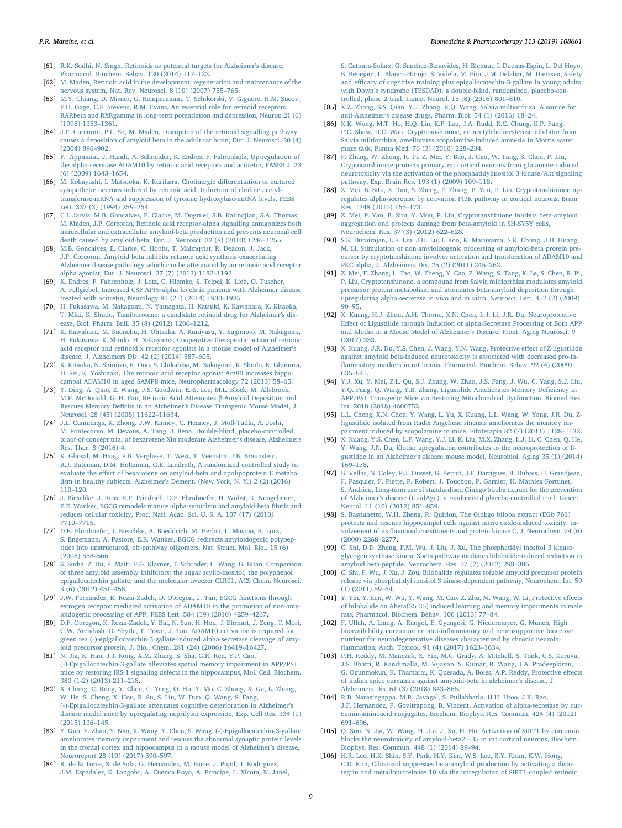- <span id="page-8-0"></span>[61] [R.K. Sodhi, N. Singh, Retinoids as potential targets for Alzheimer](http://refhub.elsevier.com/S0753-3322(18)37032-X/sbref0305)'s disease, [Pharmacol. Biochem. Behav. 120 \(2014\) 117](http://refhub.elsevier.com/S0753-3322(18)37032-X/sbref0305)–123.
- <span id="page-8-1"></span>[62] [M. Maden, Retinoic acid in the development, regeneration and maintenance of the](http://refhub.elsevier.com/S0753-3322(18)37032-X/sbref0310) [nervous system, Nat. Rev. Neurosci. 8 \(10\) \(2007\) 755](http://refhub.elsevier.com/S0753-3322(18)37032-X/sbref0310)–765.
- <span id="page-8-2"></span>[63] [M.Y. Chiang, D. Misner, G. Kempermann, T. Schikorski, V. Giguere, H.M. Sucov,](http://refhub.elsevier.com/S0753-3322(18)37032-X/sbref0315) [F.H. Gage, C.F. Stevens, R.M. Evans, An essential role for retinoid receptors](http://refhub.elsevier.com/S0753-3322(18)37032-X/sbref0315) [RARbeta and RXRgamma in long-term potentiation and depression, Neuron 21 \(6\)](http://refhub.elsevier.com/S0753-3322(18)37032-X/sbref0315) [\(1998\) 1353](http://refhub.elsevier.com/S0753-3322(18)37032-X/sbref0315)–1361.
- <span id="page-8-3"></span>[64] [J.P. Corcoran, P.L. So, M. Maden, Disruption of the retinoid signalling pathway](http://refhub.elsevier.com/S0753-3322(18)37032-X/sbref0320) [causes a deposition of amyloid beta in the adult rat brain, Eur. J. Neurosci. 20 \(4\)](http://refhub.elsevier.com/S0753-3322(18)37032-X/sbref0320) [\(2004\) 896](http://refhub.elsevier.com/S0753-3322(18)37032-X/sbref0320)–902.
- <span id="page-8-4"></span>[65] [F. Tippmann, J. Hundt, A. Schneider, K. Endres, F. Fahrenholz, Up-regulation of](http://refhub.elsevier.com/S0753-3322(18)37032-X/sbref0325) [the alpha-secretase ADAM10 by retinoic acid receptors and acitretin, FASEB J. 23](http://refhub.elsevier.com/S0753-3322(18)37032-X/sbref0325) [\(6\) \(2009\) 1643](http://refhub.elsevier.com/S0753-3322(18)37032-X/sbref0325)–1654.
- <span id="page-8-5"></span>[66] [M. Kobayashi, I. Matsuoka, K. Kurihara, Cholinergic di](http://refhub.elsevier.com/S0753-3322(18)37032-X/sbref0330)fferentiation of cultured [sympathetic neurons induced by retinoic acid. Induction of choline acetyl](http://refhub.elsevier.com/S0753-3322(18)37032-X/sbref0330)[transferase-mRNA and suppression of tyrosine hydroxylase-mRNA levels, FEBS](http://refhub.elsevier.com/S0753-3322(18)37032-X/sbref0330) [Lett. 337 \(3\) \(1994\) 259](http://refhub.elsevier.com/S0753-3322(18)37032-X/sbref0330)–264.
- <span id="page-8-6"></span>[67] [C.I. Jarvis, M.B. Goncalves, E. Clarke, M. Dogruel, S.B. Kalindjian, S.A. Thomas,](http://refhub.elsevier.com/S0753-3322(18)37032-X/sbref0335) [M. Maden, J.P. Corcoran, Retinoic acid receptor-alpha signalling antagonizes both](http://refhub.elsevier.com/S0753-3322(18)37032-X/sbref0335) [intracellular and extracellular amyloid-beta production and prevents neuronal cell](http://refhub.elsevier.com/S0753-3322(18)37032-X/sbref0335) [death caused by amyloid-beta, Eur. J. Neurosci. 32 \(8\) \(2010\) 1246](http://refhub.elsevier.com/S0753-3322(18)37032-X/sbref0335)–1255.
- <span id="page-8-7"></span>[68] [M.B. Goncalves, E. Clarke, C. Hobbs, T. Malmqvist, R. Deacon, J. Jack,](http://refhub.elsevier.com/S0753-3322(18)37032-X/sbref0340) [J.P. Corcoran, Amyloid beta inhibits retinoic acid synthesis exacerbating](http://refhub.elsevier.com/S0753-3322(18)37032-X/sbref0340) [Alzheimer disease pathology which can be attenuated by an retinoic acid receptor](http://refhub.elsevier.com/S0753-3322(18)37032-X/sbref0340) [alpha agonist, Eur. J. Neurosci. 37 \(7\) \(2013\) 1182](http://refhub.elsevier.com/S0753-3322(18)37032-X/sbref0340)–1192.
- <span id="page-8-8"></span>[69] [K. Endres, F. Fahrenholz, J. Lotz, C. Hiemke, S. Teipel, K. Lieb, O. Tuscher,](http://refhub.elsevier.com/S0753-3322(18)37032-X/sbref0345) [A. Fellgiebel, Increased CSF APPs-alpha levels in patients with Alzheimer disease](http://refhub.elsevier.com/S0753-3322(18)37032-X/sbref0345) [treated with acitretin, Neurology 83 \(21\) \(2014\) 1930](http://refhub.elsevier.com/S0753-3322(18)37032-X/sbref0345)–1935.
- <span id="page-8-9"></span>[70] [H. Fukasawa, M. Nakagomi, N. Yamagata, H. Katsuki, K. Kawahara, K. Kitaoka,](http://refhub.elsevier.com/S0753-3322(18)37032-X/sbref0350) [T. Miki, K. Shudo, Tamibarotene: a candidate retinoid drug for Alzheimer](http://refhub.elsevier.com/S0753-3322(18)37032-X/sbref0350)'s dis[ease, Biol. Pharm. Bull. 35 \(8\) \(2012\) 1206](http://refhub.elsevier.com/S0753-3322(18)37032-X/sbref0350)–1212.
- <span id="page-8-10"></span>[71] [K. Kawahara, M. Suenobu, H. Ohtsuka, A. Kuniyasu, Y. Sugimoto, M. Nakagomi,](http://refhub.elsevier.com/S0753-3322(18)37032-X/sbref0355) [H. Fukasawa, K. Shudo, H. Nakayama, Cooperative therapeutic action of retinoic](http://refhub.elsevier.com/S0753-3322(18)37032-X/sbref0355) [acid receptor and retinoid x receptor agonists in a mouse model of Alzheimer](http://refhub.elsevier.com/S0753-3322(18)37032-X/sbref0355)'s [disease, J. Alzheimers Dis. 42 \(2\) \(2014\) 587](http://refhub.elsevier.com/S0753-3322(18)37032-X/sbref0355)–605.
- <span id="page-8-11"></span>[72] [K. Kitaoka, N. Shimizu, K. Ono, S. Chikahisa, M. Nakagomi, K. Shudo, K. Ishimura,](http://refhub.elsevier.com/S0753-3322(18)37032-X/sbref0360) [H. Sei, K. Yoshizaki, The retinoic acid receptor agonist Am80 increases hippo](http://refhub.elsevier.com/S0753-3322(18)37032-X/sbref0360)[campal ADAM10 in aged SAMP8 mice, Neuropharmacology 72 \(2013\) 58](http://refhub.elsevier.com/S0753-3322(18)37032-X/sbref0360)–65.
- <span id="page-8-12"></span>[73] [Y. Ding, A. Qiao, Z. Wang, J.S. Goodwin, E.-S. Lee, M.L. Block, M. Allsbrook,](http://refhub.elsevier.com/S0753-3322(18)37032-X/sbref0365) [M.P. McDonald, G.-H. Fan, Retinoic Acid Attenuates](http://refhub.elsevier.com/S0753-3322(18)37032-X/sbref0365) β-Amyloid Deposition and Rescues Memory Deficits in an Alzheimer's [Disease Transgenic Mouse Model, J.](http://refhub.elsevier.com/S0753-3322(18)37032-X/sbref0365) [Neurosci. 28 \(45\) \(2008\) 11622](http://refhub.elsevier.com/S0753-3322(18)37032-X/sbref0365)–11634.
- <span id="page-8-13"></span>[74] [J.L. Cummings, K. Zhong, J.W. Kinney, C. Heaney, J. Moll-Tudla, A. Joshi,](http://refhub.elsevier.com/S0753-3322(18)37032-X/sbref0370) [M. Pontecorvo, M. Devous, A. Tang, J. Bena, Double-blind, placebo-controlled,](http://refhub.elsevier.com/S0753-3322(18)37032-X/sbref0370) [proof-of-concept trial of bexarotene Xin moderate Alzheimer](http://refhub.elsevier.com/S0753-3322(18)37032-X/sbref0370)'s disease, Alzheimers [Res. Ther. 8 \(2016\) 4.](http://refhub.elsevier.com/S0753-3322(18)37032-X/sbref0370)
- <span id="page-8-14"></span>[75] [K. Ghosal, M. Haag, P.B. Verghese, T. West, T. Veenstra, J.B. Braunstein,](http://refhub.elsevier.com/S0753-3322(18)37032-X/sbref0375) [R.J. Bateman, D.M. Holtzman, G.E. Landreth, A randomized controlled study to](http://refhub.elsevier.com/S0753-3322(18)37032-X/sbref0375) evaluate the eff[ect of bexarotene on amyloid-beta and apolipoprotein E metabo](http://refhub.elsevier.com/S0753-3322(18)37032-X/sbref0375)lism in healthy subjects, Alzheimer'[s Dement. \(New York, N. Y.\) 2 \(2\) \(2016\)](http://refhub.elsevier.com/S0753-3322(18)37032-X/sbref0375) 110–[120.](http://refhub.elsevier.com/S0753-3322(18)37032-X/sbref0375)
- <span id="page-8-15"></span>[76] [J. Bieschke, J. Russ, R.P. Friedrich, D.E. Ehrnhoefer, H. Wobst, K. Neugebauer,](http://refhub.elsevier.com/S0753-3322(18)37032-X/sbref0380) [E.E. Wanker, EGCG remodels mature alpha-synuclein and amyloid-beta](http://refhub.elsevier.com/S0753-3322(18)37032-X/sbref0380) fibrils and [reduces cellular toxicity, Proc. Natl. Acad. Sci. U. S. A. 107 \(17\) \(2010\)](http://refhub.elsevier.com/S0753-3322(18)37032-X/sbref0380) 7710–[7715.](http://refhub.elsevier.com/S0753-3322(18)37032-X/sbref0380)
- [77] [D.E. Ehrnhoefer, J. Bieschke, A. Boeddrich, M. Herbst, L. Masino, R. Lurz,](http://refhub.elsevier.com/S0753-3322(18)37032-X/sbref0385) [S. Engemann, A. Pastore, E.E. Wanker, EGCG redirects amyloidogenic polypep](http://refhub.elsevier.com/S0753-3322(18)37032-X/sbref0385)tides into unstructured, off[-pathway oligomers, Nat. Struct. Mol. Biol. 15 \(6\)](http://refhub.elsevier.com/S0753-3322(18)37032-X/sbref0385) [\(2008\) 558](http://refhub.elsevier.com/S0753-3322(18)37032-X/sbref0385)–566.
- [78] [S. Sinha, Z. Du, P. Maiti, F.G. Klarner, T. Schrader, C. Wang, G. Bitan, Comparison](http://refhub.elsevier.com/S0753-3322(18)37032-X/sbref0390) [of three amyloid assembly inhibitors: the sugar scyllo-inositol, the polyphenol](http://refhub.elsevier.com/S0753-3322(18)37032-X/sbref0390) [epigallocatechin gallate, and the molecular tweezer CLR01, ACS Chem. Neurosci.](http://refhub.elsevier.com/S0753-3322(18)37032-X/sbref0390) [3 \(6\) \(2012\) 451](http://refhub.elsevier.com/S0753-3322(18)37032-X/sbref0390)–458.
- <span id="page-8-16"></span>[79] [J.W. Fernandez, K. Rezai-Zadeh, D. Obregon, J. Tan, EGCG functions through](http://refhub.elsevier.com/S0753-3322(18)37032-X/sbref0395) [estrogen receptor-mediated activation of ADAM10 in the promotion of non-amy](http://refhub.elsevier.com/S0753-3322(18)37032-X/sbref0395)[loidogenic processing of APP, FEBS Lett. 584 \(19\) \(2010\) 4259](http://refhub.elsevier.com/S0753-3322(18)37032-X/sbref0395)–4267.
- <span id="page-8-17"></span>[80] [D.F. Obregon, K. Rezai-Zadeh, Y. Bai, N. Sun, H. Hou, J. Ehrhart, J. Zeng, T. Mori,](http://refhub.elsevier.com/S0753-3322(18)37032-X/sbref0400) [G.W. Arendash, D. Shytle, T. Town, J. Tan, ADAM10 activation is required for](http://refhub.elsevier.com/S0753-3322(18)37032-X/sbref0400) [green tea \(-\)-epigallocatechin-3-gallate-induced alpha-secretase cleavage of amy](http://refhub.elsevier.com/S0753-3322(18)37032-X/sbref0400)[loid precursor protein, J. Biol. Chem. 281 \(24\) \(2006\) 16419](http://refhub.elsevier.com/S0753-3322(18)37032-X/sbref0400)–16427.
- <span id="page-8-18"></span>[81] [N. Jia, K. Han, J.J. Kong, X.M. Zhang, S. Sha, G.R. Ren, Y.P. Cao,](http://refhub.elsevier.com/S0753-3322(18)37032-X/sbref0405) [\(-\)-Epigallocatechin-3-gallate alleviates spatial memory impairment in APP/PS1](http://refhub.elsevier.com/S0753-3322(18)37032-X/sbref0405) [mice by restoring IRS-1 signaling defects in the hippocampus, Mol. Cell. Biochem.](http://refhub.elsevier.com/S0753-3322(18)37032-X/sbref0405) [380 \(1-2\) \(2013\) 211](http://refhub.elsevier.com/S0753-3322(18)37032-X/sbref0405)–218.
- <span id="page-8-19"></span>[82] [X. Chang, C. Rong, Y. Chen, C. Yang, Q. Hu, Y. Mo, C. Zhang, X. Gu, L. Zhang,](http://refhub.elsevier.com/S0753-3322(18)37032-X/sbref0410) [W. He, S. Cheng, X. Hou, R. Su, S. Liu, W. Dun, Q. Wang, S. Fang,](http://refhub.elsevier.com/S0753-3322(18)37032-X/sbref0410) [\(-\)-Epigallocatechin-3-gallate attenuates cognitive deterioration in Alzheimer](http://refhub.elsevier.com/S0753-3322(18)37032-X/sbref0410)'s [disease model mice by upregulating neprilysin expression, Exp. Cell Res. 334 \(1\)](http://refhub.elsevier.com/S0753-3322(18)37032-X/sbref0410) [\(2015\) 136](http://refhub.elsevier.com/S0753-3322(18)37032-X/sbref0410)–145.
- <span id="page-8-20"></span>[83] [Y. Guo, Y. Zhao, Y. Nan, X. Wang, Y. Chen, S. Wang, \(-\)-Epigallocatechin-3-gallate](http://refhub.elsevier.com/S0753-3322(18)37032-X/sbref0415) [ameliorates memory impairment and rescues the abnormal synaptic protein levels](http://refhub.elsevier.com/S0753-3322(18)37032-X/sbref0415) [in the frontal cortex and hippocampus in a mouse model of Alzheimer](http://refhub.elsevier.com/S0753-3322(18)37032-X/sbref0415)'s disease, [Neuroreport 28 \(10\) \(2017\) 590](http://refhub.elsevier.com/S0753-3322(18)37032-X/sbref0415)–597.
- <span id="page-8-21"></span>[84] [R. de la Torre, S. de Sola, G. Hernandez, M. Farre, J. Pujol, J. Rodriguez,](http://refhub.elsevier.com/S0753-3322(18)37032-X/sbref0420) [J.M. Espadaler, K. Langohr, A. Cuenca-Royo, A. Principe, L. Xicota, N. Janel,](http://refhub.elsevier.com/S0753-3322(18)37032-X/sbref0420)

[S. Catuara-Solarz, G. Sanchez-Benavides, H. Blehaut, I. Duenas-Espin, L. Del Hoyo,](http://refhub.elsevier.com/S0753-3322(18)37032-X/sbref0420) B. [Benejam, L. Blanco-Hinojo, S. Videla, M. Fito, J.M. Delabar, M. Dierssen, Safety](http://refhub.elsevier.com/S0753-3322(18)37032-X/sbref0420) and effi[cacy of cognitive training plus epigallocatechin-3-gallate in young adults](http://refhub.elsevier.com/S0753-3322(18)37032-X/sbref0420) with Down'[s syndrome \(TESDAD\): a double-blind, randomised, placebo-con](http://refhub.elsevier.com/S0753-3322(18)37032-X/sbref0420)[trolled, phase 2 trial, Lancet Neurol. 15 \(8\) \(2016\) 801](http://refhub.elsevier.com/S0753-3322(18)37032-X/sbref0420)–810.

- <span id="page-8-22"></span>[85] [X.Z. Zhang, S.S. Qian, Y.J. Zhang, R.Q. Wang, Salvia miltiorrhiza: A source for](http://refhub.elsevier.com/S0753-3322(18)37032-X/sbref0425) anti-Alzheimer'[s disease drugs, Pharm. Biol. 54 \(1\) \(2016\) 18](http://refhub.elsevier.com/S0753-3322(18)37032-X/sbref0425)–24.
- <span id="page-8-23"></span>[86] [K.K. Wong, M.T. Ho, H.Q. Lin, K.F. Lau, J.A. Rudd, R.C. Chung, K.P. Fung,](http://refhub.elsevier.com/S0753-3322(18)37032-X/sbref0430) [P.C. Shaw, D.C. Wan, Cryptotanshinone, an acetylcholinesterase inhibitor from](http://refhub.elsevier.com/S0753-3322(18)37032-X/sbref0430) [Salvia miltiorrhiza, ameliorates scopolamine-induced amnesia in Morris water](http://refhub.elsevier.com/S0753-3322(18)37032-X/sbref0430) [maze task, Planta Med. 76 \(3\) \(2010\) 228](http://refhub.elsevier.com/S0753-3322(18)37032-X/sbref0430)–234.
- <span id="page-8-24"></span>[87] [F. Zhang, W. Zheng, R. Pi, Z. Mei, Y. Bao, J. Gao, W. Tang, S. Chen, P. Liu,](http://refhub.elsevier.com/S0753-3322(18)37032-X/sbref0435) [Cryptotanshinone protects primary rat cortical neurons from glutamate-induced](http://refhub.elsevier.com/S0753-3322(18)37032-X/sbref0435) [neurotoxicity via the activation of the phosphatidylinositol 3-kinase/Akt signaling](http://refhub.elsevier.com/S0753-3322(18)37032-X/sbref0435) [pathway, Exp. Brain Res. 193 \(1\) \(2009\) 109](http://refhub.elsevier.com/S0753-3322(18)37032-X/sbref0435)–118.
- <span id="page-8-25"></span>[88] [Z. Mei, B. Situ, X. Tan, S. Zheng, F. Zhang, P. Yan, P. Liu, Cryptotanshinione up](http://refhub.elsevier.com/S0753-3322(18)37032-X/sbref0440)[regulates alpha-secretase by activation PI3K pathway in cortical neurons, Brain](http://refhub.elsevier.com/S0753-3322(18)37032-X/sbref0440) [Res. 1348 \(2010\) 165](http://refhub.elsevier.com/S0753-3322(18)37032-X/sbref0440)–173.
- <span id="page-8-26"></span>[89] [Z. Mei, P. Yan, B. Situ, Y. Mou, P. Liu, Cryptotanshinione inhibits beta-amyloid](http://refhub.elsevier.com/S0753-3322(18)37032-X/sbref0445) [aggregation and protects damage from beta-amyloid in SH-SY5Y cells,](http://refhub.elsevier.com/S0753-3322(18)37032-X/sbref0445) [Neurochem. Res. 37 \(3\) \(2012\) 622](http://refhub.elsevier.com/S0753-3322(18)37032-X/sbref0445)–628.
- <span id="page-8-27"></span>[90] [S.S. Durairajan, L.F. Liu, J.H. Lu, I. Koo, K. Maruyama, S.K. Chung, J.D. Huang,](http://refhub.elsevier.com/S0753-3322(18)37032-X/sbref0450) [M. Li, Stimulation of non-amyloidogenic processing of amyloid-beta protein pre](http://refhub.elsevier.com/S0753-3322(18)37032-X/sbref0450)[cursor by cryptotanshinone involves activation and translocation of ADAM10 and](http://refhub.elsevier.com/S0753-3322(18)37032-X/sbref0450) [PKC-alpha, J. Alzheimers Dis. 25 \(2\) \(2011\) 245](http://refhub.elsevier.com/S0753-3322(18)37032-X/sbref0450)–262.
- <span id="page-8-28"></span>[91] [Z. Mei, F. Zhang, L. Tao, W. Zheng, Y. Cao, Z. Wang, S. Tang, K. Le, S. Chen, R. Pi,](http://refhub.elsevier.com/S0753-3322(18)37032-X/sbref0455) [P. Liu, Cryptotanshinone, a compound from Salvia miltiorrhiza modulates amyloid](http://refhub.elsevier.com/S0753-3322(18)37032-X/sbref0455) [precursor protein metabolism and attenuates beta-amyloid deposition through](http://refhub.elsevier.com/S0753-3322(18)37032-X/sbref0455) [upregulating alpha-secretase in vivo and in vitro, Neurosci. Lett. 452 \(2\) \(2009\)](http://refhub.elsevier.com/S0753-3322(18)37032-X/sbref0455)  $90 - 95$ .
- <span id="page-8-29"></span>[92] [X. Kuang, H.J. Zhou, A.H. Thorne, X.N. Chen, L.J. Li, J.R. Du, Neuroprotective](http://refhub.elsevier.com/S0753-3322(18)37032-X/sbref0460) Eff[ect of Ligustilide through Induction of alpha-Secretase Processing of Both APP](http://refhub.elsevier.com/S0753-3322(18)37032-X/sbref0460) [and Klotho in a Mouse Model of Alzheimer](http://refhub.elsevier.com/S0753-3322(18)37032-X/sbref0460)'s Disease, Front. Aging Neurosci. 9 [\(2017\) 353.](http://refhub.elsevier.com/S0753-3322(18)37032-X/sbref0460)
- <span id="page-8-30"></span>[93] [X. Kuang, J.R. Du, Y.S. Chen, J. Wang, Y.N. Wang, Protective e](http://refhub.elsevier.com/S0753-3322(18)37032-X/sbref0465)ffect of Z-ligustilide [against amyloid beta-induced neurotoxicity is associated with decreased pro-in](http://refhub.elsevier.com/S0753-3322(18)37032-X/sbref0465)fl[ammatory markers in rat brains, Pharmacol. Biochem. Behav. 92 \(4\) \(2009\)](http://refhub.elsevier.com/S0753-3322(18)37032-X/sbref0465) 635–[641.](http://refhub.elsevier.com/S0753-3322(18)37032-X/sbref0465)
- <span id="page-8-31"></span>[94] [Y.J. Xu, Y. Mei, Z.L. Qu, S.J. Zhang, W. Zhao, J.S. Fang, J. Wu, C. Yang, S.J. Liu,](http://refhub.elsevier.com/S0753-3322(18)37032-X/sbref0470) [Y.Q. Fang, Q. Wang, Y.B. Zhang, Ligustilide Ameliorates Memory De](http://refhub.elsevier.com/S0753-3322(18)37032-X/sbref0470)ficiency in [APP/PS1 Transgenic Mice via Restoring Mitochondrial Dysfunction, Biomed Res.](http://refhub.elsevier.com/S0753-3322(18)37032-X/sbref0470) [Int. 2018 \(2018\) 4606752.](http://refhub.elsevier.com/S0753-3322(18)37032-X/sbref0470)
- <span id="page-8-32"></span>[95] [L.L. Cheng, X.N. Chen, Y. Wang, L. Yu, X. Kuang, L.L. Wang, W. Yang, J.R. Du, Z](http://refhub.elsevier.com/S0753-3322(18)37032-X/sbref0475)[ligustilide isolated from Radix Angelicae sinensis ameliorates the memory im](http://refhub.elsevier.com/S0753-3322(18)37032-X/sbref0475)[pairment induced by scopolamine in mice, Fitoterapia 82 \(7\) \(2011\) 1128](http://refhub.elsevier.com/S0753-3322(18)37032-X/sbref0475)–1132.
- <span id="page-8-33"></span>[96] [X. Kuang, Y.S. Chen, L.F. Wang, Y.J. Li, K. Liu, M.X. Zhang, L.J. Li, C. Chen, Q. He,](http://refhub.elsevier.com/S0753-3322(18)37032-X/sbref0480) [Y. Wang, J.R. Du, Klotho upregulation contributes to the neuroprotection of li](http://refhub.elsevier.com/S0753-3322(18)37032-X/sbref0480)gustilide in an Alzheimer'[s disease mouse model, Neurobiol. Aging 35 \(1\) \(2014\)](http://refhub.elsevier.com/S0753-3322(18)37032-X/sbref0480) 169–[178.](http://refhub.elsevier.com/S0753-3322(18)37032-X/sbref0480)
- <span id="page-8-34"></span>[97] [B. Vellas, N. Coley, P.J. Ousset, G. Berrut, J.F. Dartigues, B. Dubois, H. Grandjean,](http://refhub.elsevier.com/S0753-3322(18)37032-X/sbref0485) [F. Pasquier, F. Piette, P. Robert, J. Touchon, P. Garnier, H. Mathiex-Fortunet,](http://refhub.elsevier.com/S0753-3322(18)37032-X/sbref0485) [S. Andrieu, Long-term use of standardised Ginkgo biloba extract for the prevention](http://refhub.elsevier.com/S0753-3322(18)37032-X/sbref0485) of Alzheimer'[s disease \(GuidAge\): a randomised placebo-controlled trial, Lancet](http://refhub.elsevier.com/S0753-3322(18)37032-X/sbref0485) [Neurol. 11 \(10\) \(2012\) 851](http://refhub.elsevier.com/S0753-3322(18)37032-X/sbref0485)–859.
- <span id="page-8-35"></span>[98] [S. Bastianetto, W.H. Zheng, R. Quirion, The Ginkgo biloba extract \(EGb 761\)](http://refhub.elsevier.com/S0753-3322(18)37032-X/sbref0490) [protects and rescues hippocampal cells against nitric oxide-induced toxicity: in](http://refhub.elsevier.com/S0753-3322(18)37032-X/sbref0490)volvement of its fl[avonoid constituents and protein kinase C, J. Neurochem. 74 \(6\)](http://refhub.elsevier.com/S0753-3322(18)37032-X/sbref0490) [\(2000\) 2268](http://refhub.elsevier.com/S0753-3322(18)37032-X/sbref0490)–2277.
- <span id="page-8-36"></span>[99] [C. Shi, D.D. Zheng, F.M. Wu, J. Liu, J. Xu, The phosphatidyl inositol 3 kinase](http://refhub.elsevier.com/S0753-3322(18)37032-X/sbref0495)[glycogen synthase kinase 3beta pathway mediates bilobalide-induced reduction in](http://refhub.elsevier.com/S0753-3322(18)37032-X/sbref0495) [amyloid beta-peptide, Neurochem. Res. 37 \(2\) \(2012\) 298](http://refhub.elsevier.com/S0753-3322(18)37032-X/sbref0495)–306.
- <span id="page-8-37"></span>[100] [C. Shi, F. Wu, J. Xu, J. Zou, Bilobalide regulates soluble amyloid precursor protein](http://refhub.elsevier.com/S0753-3322(18)37032-X/sbref0500) [release via phosphatidyl inositol 3 kinase-dependent pathway, Neurochem. Int. 59](http://refhub.elsevier.com/S0753-3322(18)37032-X/sbref0500) [\(1\) \(2011\) 59](http://refhub.elsevier.com/S0753-3322(18)37032-X/sbref0500)–64.
- <span id="page-8-38"></span>[101] [Y. Yin, Y. Ren, W. Wu, Y. Wang, M. Cao, Z. Zhu, M. Wang, W. Li, Protective e](http://refhub.elsevier.com/S0753-3322(18)37032-X/sbref0505)ffects [of bilobalide on Abeta\(25-35\) induced learning and memory impairments in male](http://refhub.elsevier.com/S0753-3322(18)37032-X/sbref0505) [rats, Pharmacol. Biochem. Behav. 106 \(2013\) 77](http://refhub.elsevier.com/S0753-3322(18)37032-X/sbref0505)–84.
- <span id="page-8-39"></span>[102] [F. Ullah, A. Liang, A. Rangel, E. Gyengesi, G. Niedermayer, G. Munch, High](http://refhub.elsevier.com/S0753-3322(18)37032-X/sbref0510) bioavailability curcumin: an anti-infl[ammatory and neurosupportive bioactive](http://refhub.elsevier.com/S0753-3322(18)37032-X/sbref0510) [nutrient for neurodegenerative diseases characterized by chronic neuroin](http://refhub.elsevier.com/S0753-3322(18)37032-X/sbref0510)fl[ammation, Arch. Toxicol. 91 \(4\) \(2017\) 1623](http://refhub.elsevier.com/S0753-3322(18)37032-X/sbref0510)–1634.
- <span id="page-8-40"></span>[103] [P.H. Reddy, M. Manczak, X. Yin, M.C. Grady, A. Mitchell, S. Tonk, C.S. Kuruva,](http://refhub.elsevier.com/S0753-3322(18)37032-X/sbref0515) [J.S. Bhatti, R. Kandimalla, M. Vijayan, S. Kumar, R. Wang, J.A. Pradeepkiran,](http://refhub.elsevier.com/S0753-3322(18)37032-X/sbref0515) [G. Ogunmokun, K. Thamarai, K. Quesada, A. Boles, A.P. Reddy, Protective e](http://refhub.elsevier.com/S0753-3322(18)37032-X/sbref0515)ffects [of indian spice curcumin against amyloid-beta in alzheimer](http://refhub.elsevier.com/S0753-3322(18)37032-X/sbref0515)'s disease, J. [Alzheimers Dis. 61 \(3\) \(2018\) 843](http://refhub.elsevier.com/S0753-3322(18)37032-X/sbref0515)–866.
- <span id="page-8-41"></span>[104] [R.B. Narasingappa, M.R. Javagal, S. Pullabhatla, H.H. Htoo, J.K. Rao,](http://refhub.elsevier.com/S0753-3322(18)37032-X/sbref0520) [J.F. Hernandez, P. Govitrapong, B. Vincent, Activation of alpha-secretase by cur](http://refhub.elsevier.com/S0753-3322(18)37032-X/sbref0520)[cumin-aminoacid conjugates, Biochem. Biophys. Res. Commun. 424 \(4\) \(2012\)](http://refhub.elsevier.com/S0753-3322(18)37032-X/sbref0520) 691–[696.](http://refhub.elsevier.com/S0753-3322(18)37032-X/sbref0520)
- <span id="page-8-42"></span>[105] [Q. Sun, N. Jia, W. Wang, H. Jin, J. Xu, H. Hu, Activation of SIRT1 by curcumin](http://refhub.elsevier.com/S0753-3322(18)37032-X/sbref0525) [blocks the neurotoxicity of amyloid-beta25-35 in rat cortical neurons, Biochem.](http://refhub.elsevier.com/S0753-3322(18)37032-X/sbref0525) [Biophys. Res. Commun. 448 \(1\) \(2014\) 89](http://refhub.elsevier.com/S0753-3322(18)37032-X/sbref0525)–94.
- <span id="page-8-43"></span>[106] [H.R. Lee, H.K. Shin, S.Y. Park, H.Y. Kim, W.S. Lee, B.Y. Rhim, K.W. Hong,](http://refhub.elsevier.com/S0753-3322(18)37032-X/sbref0530) [C.D. Kim, Cilostazol suppresses beta-amyloid production by activating a disin](http://refhub.elsevier.com/S0753-3322(18)37032-X/sbref0530)[tegrin and metalloproteinase 10 via the upregulation of SIRT1-coupled retinoic](http://refhub.elsevier.com/S0753-3322(18)37032-X/sbref0530)